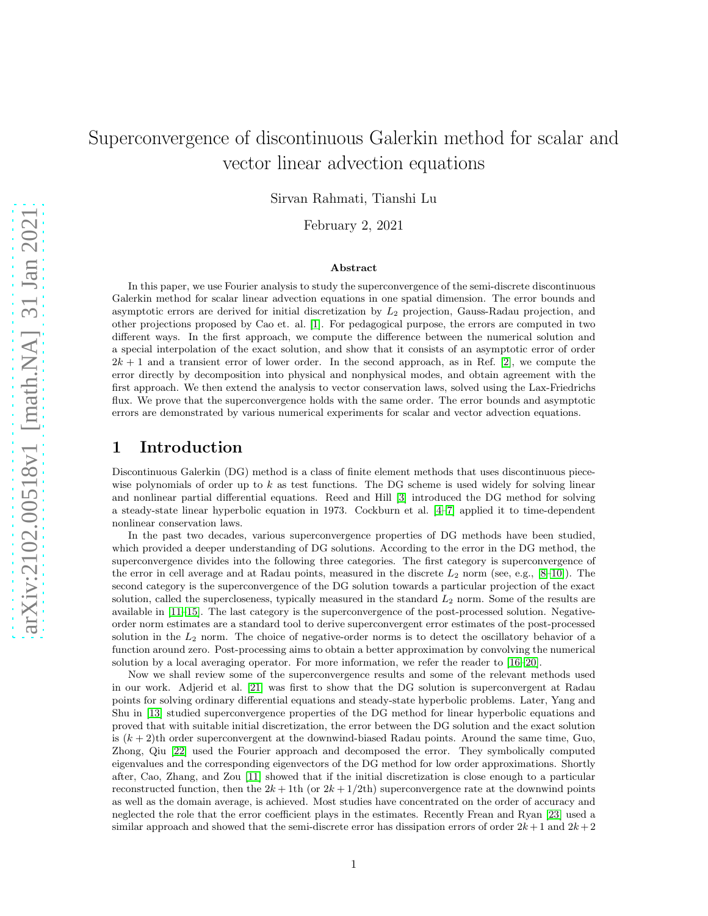# Superconvergence of discontinuous Galerkin method for scalar and vector linear advection equations

Sirvan Rahmati, Tianshi Lu

February 2, 2021

#### Abstract

In this paper, we use Fourier analysis to study the superconvergence of the semi-discrete discontinuous Galerkin method for scalar linear advection equations in one spatial dimension. The error bounds and asymptotic errors are derived for initial discretization by  $L_2$  projection, Gauss-Radau projection, and other projections proposed by Cao et. al. [\[1\]](#page-18-0). For pedagogical purpose, the errors are computed in two different ways. In the first approach, we compute the difference between the numerical solution and a special interpolation of the exact solution, and show that it consists of an asymptotic error of order  $2k + 1$  and a transient error of lower order. In the second approach, as in Ref. [\[2\]](#page-18-1), we compute the error directly by decomposition into physical and nonphysical modes, and obtain agreement with the first approach. We then extend the analysis to vector conservation laws, solved using the Lax-Friedrichs flux. We prove that the superconvergence holds with the same order. The error bounds and asymptotic errors are demonstrated by various numerical experiments for scalar and vector advection equations.

# 1 Introduction

Discontinuous Galerkin (DG) method is a class of finite element methods that uses discontinuous piecewise polynomials of order up to  $k$  as test functions. The DG scheme is used widely for solving linear and nonlinear partial differential equations. Reed and Hill [\[3\]](#page-18-2) introduced the DG method for solving a steady-state linear hyperbolic equation in 1973. Cockburn et al. [\[4–](#page-18-3)[7\]](#page-19-0) applied it to time-dependent nonlinear conservation laws.

In the past two decades, various superconvergence properties of DG methods have been studied, which provided a deeper understanding of DG solutions. According to the error in the DG method, the superconvergence divides into the following three categories. The first category is superconvergence of the error in cell average and at Radau points, measured in the discrete  $L_2$  norm (see, e.g., [\[8](#page-19-1)[–10\]](#page-19-2)). The second category is the superconvergence of the DG solution towards a particular projection of the exact solution, called the supercloseness, typically measured in the standard  $L_2$  norm. Some of the results are available in [\[11–](#page-19-3)[15\]](#page-19-4). The last category is the superconvergence of the post-processed solution. Negativeorder norm estimates are a standard tool to derive superconvergent error estimates of the post-processed solution in the  $L_2$  norm. The choice of negative-order norms is to detect the oscillatory behavior of a function around zero. Post-processing aims to obtain a better approximation by convolving the numerical solution by a local averaging operator. For more information, we refer the reader to [\[16–](#page-19-5)[20\]](#page-19-6).

Now we shall review some of the superconvergence results and some of the relevant methods used in our work. Adjerid et al. [\[21\]](#page-19-7) was first to show that the DG solution is superconvergent at Radau points for solving ordinary differential equations and steady-state hyperbolic problems. Later, Yang and Shu in [\[13\]](#page-19-8) studied superconvergence properties of the DG method for linear hyperbolic equations and proved that with suitable initial discretization, the error between the DG solution and the exact solution is  $(k+2)$ th order superconvergent at the downwind-biased Radau points. Around the same time, Guo, Zhong, Qiu [\[22\]](#page-19-9) used the Fourier approach and decomposed the error. They symbolically computed eigenvalues and the corresponding eigenvectors of the DG method for low order approximations. Shortly after, Cao, Zhang, and Zou [\[11\]](#page-19-3) showed that if the initial discretization is close enough to a particular reconstructed function, then the  $2k + 1$ th (or  $2k + 1/2$ th) superconvergence rate at the downwind points as well as the domain average, is achieved. Most studies have concentrated on the order of accuracy and neglected the role that the error coefficient plays in the estimates. Recently Frean and Ryan [\[23\]](#page-19-10) used a similar approach and showed that the semi-discrete error has dissipation errors of order  $2k+1$  and  $2k+2$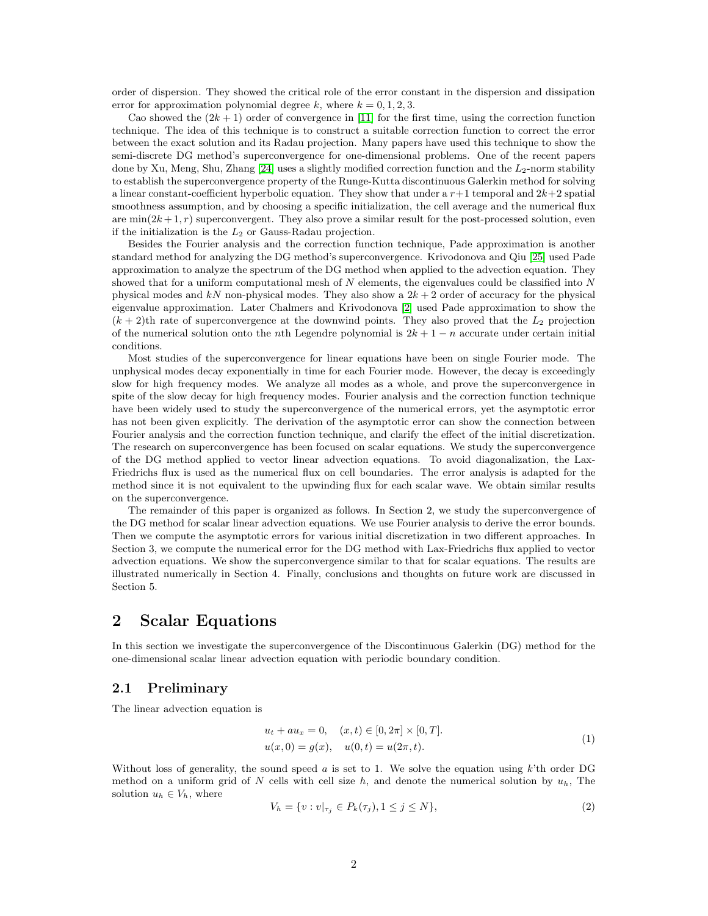order of dispersion. They showed the critical role of the error constant in the dispersion and dissipation error for approximation polynomial degree k, where  $k = 0, 1, 2, 3$ .

Cao showed the  $(2k+1)$  order of convergence in [\[11\]](#page-19-3) for the first time, using the correction function technique. The idea of this technique is to construct a suitable correction function to correct the error between the exact solution and its Radau projection. Many papers have used this technique to show the semi-discrete DG method's superconvergence for one-dimensional problems. One of the recent papers done by Xu, Meng, Shu, Zhang [\[24\]](#page-19-11) uses a slightly modified correction function and the  $L_2$ -norm stability to establish the superconvergence property of the Runge-Kutta discontinuous Galerkin method for solving a linear constant-coefficient hyperbolic equation. They show that under a  $r+1$  temporal and  $2k+2$  spatial smoothness assumption, and by choosing a specific initialization, the cell average and the numerical flux are  $\min(2k+1,r)$  superconvergent. They also prove a similar result for the post-processed solution, even if the initialization is the  $L_2$  or Gauss-Radau projection.

Besides the Fourier analysis and the correction function technique, Pade approximation is another standard method for analyzing the DG method's superconvergence. Krivodonova and Qiu [\[25\]](#page-19-12) used Pade approximation to analyze the spectrum of the DG method when applied to the advection equation. They showed that for a uniform computational mesh of  $N$  elements, the eigenvalues could be classified into  $N$ physical modes and kN non-physical modes. They also show a  $2k + 2$  order of accuracy for the physical eigenvalue approximation. Later Chalmers and Krivodonova [\[2\]](#page-18-1) used Pade approximation to show the  $(k+2)$ th rate of superconvergence at the downwind points. They also proved that the  $L_2$  projection of the numerical solution onto the nth Legendre polynomial is  $2k + 1 - n$  accurate under certain initial conditions.

Most studies of the superconvergence for linear equations have been on single Fourier mode. The unphysical modes decay exponentially in time for each Fourier mode. However, the decay is exceedingly slow for high frequency modes. We analyze all modes as a whole, and prove the superconvergence in spite of the slow decay for high frequency modes. Fourier analysis and the correction function technique have been widely used to study the superconvergence of the numerical errors, yet the asymptotic error has not been given explicitly. The derivation of the asymptotic error can show the connection between Fourier analysis and the correction function technique, and clarify the effect of the initial discretization. The research on superconvergence has been focused on scalar equations. We study the superconvergence of the DG method applied to vector linear advection equations. To avoid diagonalization, the Lax-Friedrichs flux is used as the numerical flux on cell boundaries. The error analysis is adapted for the method since it is not equivalent to the upwinding flux for each scalar wave. We obtain similar results on the superconvergence.

The remainder of this paper is organized as follows. In Section 2, we study the superconvergence of the DG method for scalar linear advection equations. We use Fourier analysis to derive the error bounds. Then we compute the asymptotic errors for various initial discretization in two different approaches. In Section 3, we compute the numerical error for the DG method with Lax-Friedrichs flux applied to vector advection equations. We show the superconvergence similar to that for scalar equations. The results are illustrated numerically in Section 4. Finally, conclusions and thoughts on future work are discussed in Section 5.

# 2 Scalar Equations

In this section we investigate the superconvergence of the Discontinuous Galerkin (DG) method for the one-dimensional scalar linear advection equation with periodic boundary condition.

#### 2.1 Preliminary

The linear advection equation is

<span id="page-1-0"></span>
$$
u_t + au_x = 0, \quad (x, t) \in [0, 2\pi] \times [0, T].
$$
  

$$
u(x, 0) = g(x), \quad u(0, t) = u(2\pi, t).
$$
 (1)

Without loss of generality, the sound speed  $a$  is set to 1. We solve the equation using  $k$ 'th order DG method on a uniform grid of N cells with cell size  $h$ , and denote the numerical solution by  $u_h$ , The solution  $u_h \in V_h$ , where

$$
V_h = \{ v : v|_{\tau_j} \in P_k(\tau_j), 1 \le j \le N \},\tag{2}
$$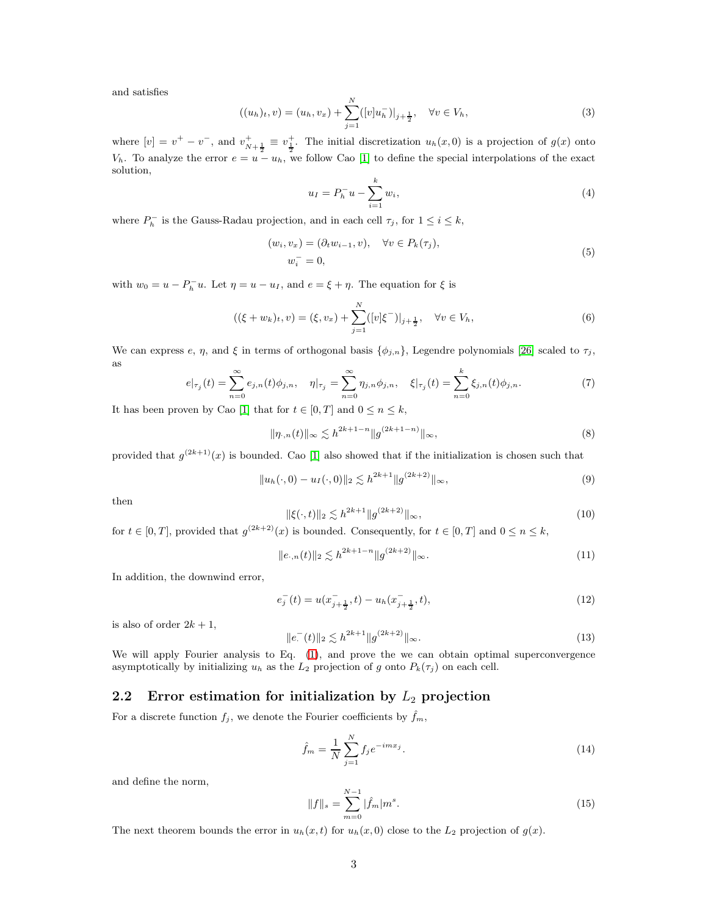and satisfies

<span id="page-2-0"></span>
$$
((u_h)_t, v) = (u_h, v_x) + \sum_{j=1}^{N} ([v]u_h^-)|_{j+\frac{1}{2}}, \quad \forall v \in V_h,
$$
\n(3)

where  $[v] = v^+ - v^-$ , and  $v_{N+\frac{1}{2}}^+ \equiv v_{\frac{1}{2}}^+$ . The initial discretization  $u_h(x,0)$  is a projection of  $g(x)$  onto  $V_h$ . To analyze the error  $e = u - u_h$ , we follow Cao [\[1\]](#page-18-0) to define the special interpolations of the exact solution,

<span id="page-2-4"></span>
$$
u_I = P_h^- u - \sum_{i=1}^k w_i,
$$
\n(4)

where  $P_h^-$  is the Gauss-Radau projection, and in each cell  $\tau_j$ , for  $1 \le i \le k$ ,

<span id="page-2-3"></span>
$$
(w_i, v_x) = (\partial_t w_{i-1}, v), \quad \forall v \in P_k(\tau_j),
$$
  

$$
w_i^- = 0,
$$
 (5)

with  $w_0 = u - P_h^- u$ . Let  $\eta = u - u_I$ , and  $e = \xi + \eta$ . The equation for  $\xi$  is

<span id="page-2-1"></span>
$$
((\xi + w_k)_t, v) = (\xi, v_x) + \sum_{j=1}^{N} ([v]\xi^-)|_{j+\frac{1}{2}}, \quad \forall v \in V_h,
$$
\n(6)

We can express e,  $\eta$ , and  $\xi$  in terms of orthogonal basis  $\{\phi_{j,n}\}\)$ , Legendre polynomials [\[26\]](#page-19-13) scaled to  $\tau_j$ , as

$$
e|_{\tau_j}(t) = \sum_{n=0}^{\infty} e_{j,n}(t)\phi_{j,n}, \quad \eta|_{\tau_j} = \sum_{n=0}^{\infty} \eta_{j,n}\phi_{j,n}, \quad \xi|_{\tau_j}(t) = \sum_{n=0}^{k} \xi_{j,n}(t)\phi_{j,n}.
$$
 (7)

It has been proven by Cao [\[1\]](#page-18-0) that for  $t \in [0, T]$  and  $0 \le n \le k$ ,

<span id="page-2-2"></span>
$$
\|\eta_{\cdot,n}(t)\|_{\infty} \lesssim h^{2k+1-n} \|g^{(2k+1-n)}\|_{\infty},\tag{8}
$$

provided that  $g^{(2k+1)}(x)$  is bounded. Cao [\[1\]](#page-18-0) also showed that if the initialization is chosen such that

$$
||u_h(\cdot,0) - u_I(\cdot,0)||_2 \lesssim h^{2k+1} ||g^{(2k+2)}||_{\infty},
$$
\n(9)

then

$$
\|\xi(\cdot,t)\|_2 \lesssim h^{2k+1} \|g^{(2k+2)}\|_{\infty},\tag{10}
$$

for  $t \in [0, T]$ , provided that  $g^{(2k+2)}(x)$  is bounded. Consequently, for  $t \in [0, T]$  and  $0 \le n \le k$ ,

$$
||e_{\cdot,n}(t)||_2 \lesssim h^{2k+1-n} ||g^{(2k+2)}||_{\infty}.
$$
\n(11)

In addition, the downwind error,

$$
e_j^-(t) = u(x_{j+\frac{1}{2}}^-, t) - u_h(x_{j+\frac{1}{2}}^-, t),
$$
\n(12)

is also of order  $2k + 1$ ,

$$
||e^{-}(t)||_{2} \lesssim h^{2k+1} ||g^{(2k+2)}||_{\infty}.
$$
\n(13)

We will apply Fourier analysis to Eq. [\(1\)](#page-1-0), and prove the we can obtain optimal superconvergence asymptotically by initializing  $u_h$  as the  $L_2$  projection of g onto  $P_k(\tau_j)$  on each cell.

### 2.2 Error estimation for initialization by  $L_2$  projection

For a discrete function  $f_j$ , we denote the Fourier coefficients by  $\hat{f}_m$ ,

$$
\hat{f}_m = \frac{1}{N} \sum_{j=1}^{N} f_j e^{-imx_j}.
$$
\n(14)

and define the norm,

$$
||f||_{s} = \sum_{m=0}^{N-1} |\hat{f}_{m}| m^{s}.
$$
\n(15)

The next theorem bounds the error in  $u_h(x, t)$  for  $u_h(x, 0)$  close to the  $L_2$  projection of  $g(x)$ .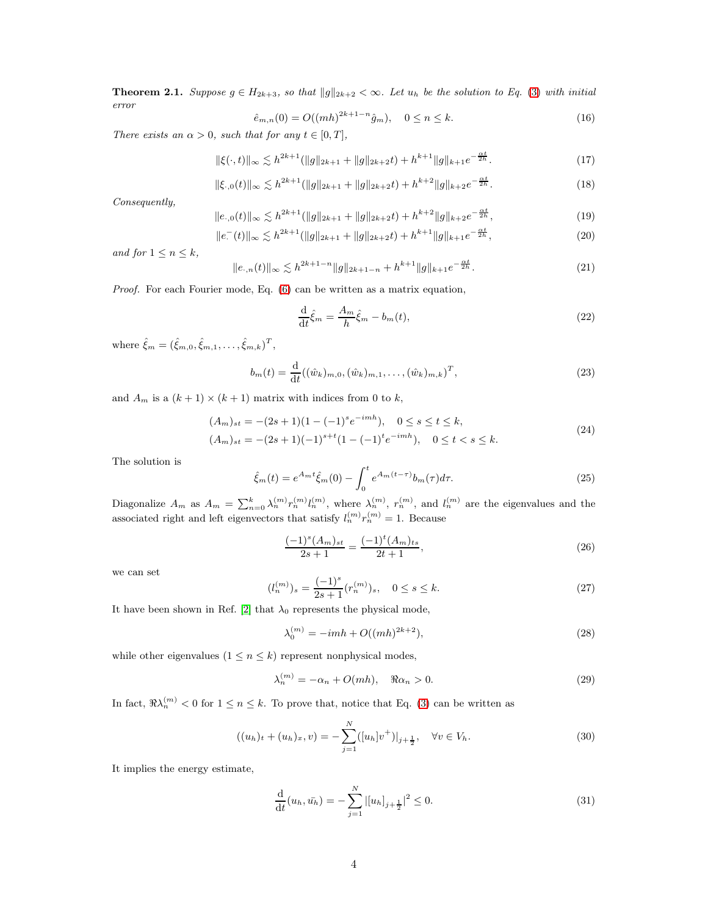<span id="page-3-10"></span>**Theorem 2.1.** Suppose  $g \in H_{2k+3}$ , so that  $||g||_{2k+2} < \infty$ . Let  $u_h$  be the solution to Eq. [\(3\)](#page-2-0) with initial error

<span id="page-3-2"></span>
$$
\hat{e}_{m,n}(0) = O((mh)^{2k+1-n}\hat{g}_m), \quad 0 \le n \le k. \tag{16}
$$

There exists an  $\alpha > 0$ , such that for any  $t \in [0, T]$ ,

<span id="page-3-5"></span>
$$
\|\xi(\cdot,t)\|_{\infty} \lesssim h^{2k+1}(\|g\|_{2k+1} + \|g\|_{2k+2}t) + h^{k+1} \|g\|_{k+1} e^{-\frac{\alpha t}{2h}}.\tag{17}
$$

<span id="page-3-6"></span>
$$
\|\xi_{\cdot,0}(t)\|_{\infty} \lesssim h^{2k+1}(\|g\|_{2k+1} + \|g\|_{2k+2}t) + h^{k+2} \|g\|_{k+2} e^{-\frac{\alpha t}{2h}}.\tag{18}
$$

Consequently,

<span id="page-3-7"></span>
$$
||e_{\cdot,0}(t)||_{\infty} \lesssim h^{2k+1} (||g||_{2k+1} + ||g||_{2k+2}t) + h^{k+2} ||g||_{k+2} e^{-\frac{\alpha t}{2h}}, \tag{19}
$$

<span id="page-3-8"></span>
$$
||e^{-}(t)||_{\infty} \lesssim h^{2k+1}(||g||_{2k+1} + ||g||_{2k+2}t) + h^{k+1}||g||_{k+1}e^{-\frac{\alpha t}{2h}},
$$
\n(20)

and for  $1 \leq n \leq k$ ,

<span id="page-3-9"></span>
$$
||e_{\cdot,n}(t)||_{\infty} \lesssim h^{2k+1-n} ||g||_{2k+1-n} + h^{k+1} ||g||_{k+1} e^{-\frac{\alpha t}{2h}}.
$$
\n(21)

Proof. For each Fourier mode, Eq. [\(6\)](#page-2-1) can be written as a matrix equation,

$$
\frac{\mathrm{d}}{\mathrm{d}t}\hat{\xi}_m = \frac{A_m}{h}\hat{\xi}_m - b_m(t),\tag{22}
$$

where  $\hat{\xi}_m = (\hat{\xi}_{m,0}, \hat{\xi}_{m,1}, \dots, \hat{\xi}_{m,k})^T,$ 

$$
b_m(t) = \frac{\mathrm{d}}{\mathrm{d}t} ((\hat{w}_k)_{m,0}, (\hat{w}_k)_{m,1}, \dots, (\hat{w}_k)_{m,k})^T,
$$
\n(23)

and  $A_m$  is a  $(k + 1) \times (k + 1)$  matrix with indices from 0 to k,

$$
(A_m)_{st} = -(2s+1)(1-(-1)^s e^{-imh}), \quad 0 \le s \le t \le k,
$$
  
\n
$$
(A_m)_{st} = -(2s+1)(-1)^{s+t}(1-(-1)^t e^{-imh}), \quad 0 \le t < s \le k.
$$
\n
$$
(24)
$$

The solution is

<span id="page-3-4"></span>
$$
\hat{\xi}_m(t) = e^{A_m t} \hat{\xi}_m(0) - \int_0^t e^{A_m(t-\tau)} b_m(\tau) d\tau.
$$
\n(25)

Diagonalize  $A_m$  as  $A_m = \sum_{n=0}^{k} \lambda_n^{(m)} r_n^{(m)} l_n^{(m)}$ , where  $\lambda_n^{(m)}$ ,  $r_n^{(m)}$ , and  $l_n^{(m)}$  are the eigenvalues and the associated right and left eigenvectors that satisfy  $l_n^{(m)} r_n^{(m)} = 1$ . Because

$$
\frac{(-1)^{s}(A_{m})_{st}}{2s+1} = \frac{(-1)^{t}(A_{m})_{ts}}{2t+1},
$$
\n(26)

we can set

<span id="page-3-11"></span>
$$
(l_n^{(m)})_s = \frac{(-1)^s}{2s+1} (r_n^{(m)})_s, \quad 0 \le s \le k. \tag{27}
$$

It have been shown in Ref. [\[2\]](#page-18-1) that  $\lambda_0$  represents the physical mode,

<span id="page-3-12"></span>
$$
\lambda_0^{(m)} = -imh + O((mh)^{2k+2}),\tag{28}
$$

while other eigenvalues  $(1 \le n \le k)$  represent nonphysical modes,

<span id="page-3-3"></span>
$$
\lambda_n^{(m)} = -\alpha_n + O(mh), \quad \Re \alpha_n > 0. \tag{29}
$$

In fact,  $\Re\lambda_n^{(m)} < 0$  for  $1 \le n \le k$ . To prove that, notice that Eq. [\(3\)](#page-2-0) can be written as

<span id="page-3-1"></span>
$$
((u_h)_t + (u_h)_x, v) = -\sum_{j=1}^N ([u_h]v^+)|_{j+\frac{1}{2}}, \quad \forall v \in V_h.
$$
\n(30)

It implies the energy estimate,

<span id="page-3-0"></span>
$$
\frac{\mathrm{d}}{\mathrm{d}t}(u_h, \bar{u}_h) = -\sum_{j=1}^N |[u_h]_{j+\frac{1}{2}}|^2 \le 0. \tag{31}
$$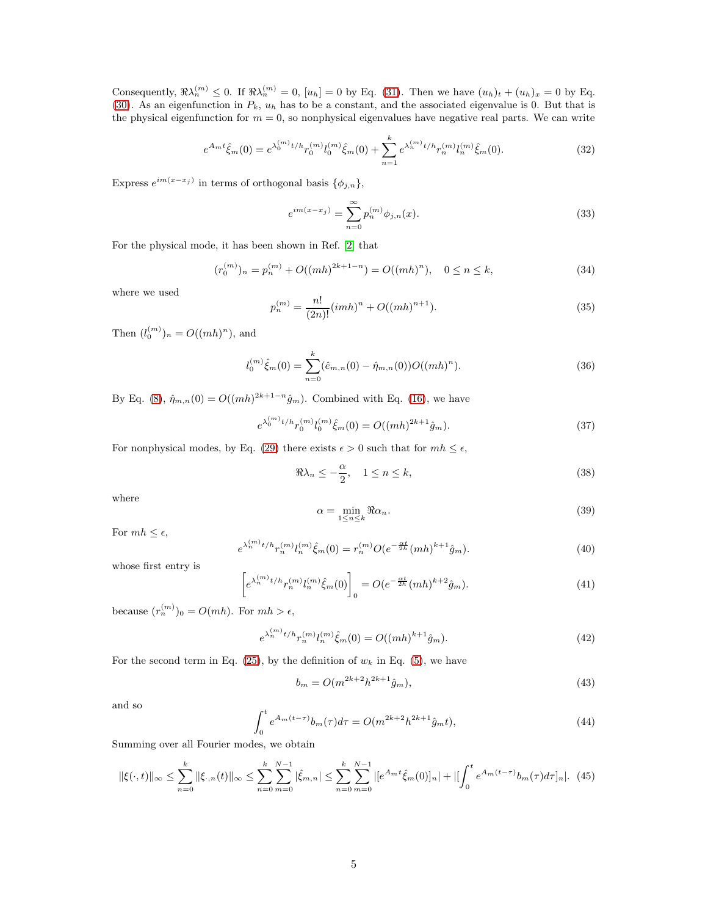Consequently,  $\Re\lambda_n^{(m)} \leq 0$ . If  $\Re\lambda_n^{(m)} = 0$ ,  $[u_h] = 0$  by Eq. [\(31\)](#page-3-0). Then we have  $(u_h)_t + (u_h)_x = 0$  by Eq. [\(30\)](#page-3-1). As an eigenfunction in  $P_k$ ,  $u_h$  has to be a constant, and the associated eigenvalue is 0. But that is the physical eigenfunction for  $m = 0$ , so nonphysical eigenvalues have negative real parts. We can write

<span id="page-4-1"></span>
$$
e^{A_{m}t}\hat{\xi}_{m}(0) = e^{\lambda_{0}^{(m)}t/h}r_{0}^{(m)}l_{0}^{(m)}\hat{\xi}_{m}(0) + \sum_{n=1}^{k}e^{\lambda_{n}^{(m)}t/h}r_{n}^{(m)}l_{n}^{(m)}\hat{\xi}_{m}(0). \tag{32}
$$

Express  $e^{im(x-x_j)}$  in terms of orthogonal basis  $\{\phi_{j,n}\},$ 

$$
e^{im(x-x_j)} = \sum_{n=0}^{\infty} p_n^{(m)} \phi_{j,n}(x).
$$
 (33)

For the physical mode, it has been shown in Ref. [\[2\]](#page-18-1) that

<span id="page-4-4"></span>
$$
(r_0^{(m)})_n = p_n^{(m)} + O((mh)^{2k+1-n}) = O((mh)^n), \quad 0 \le n \le k,
$$
\n(34)

where we used

<span id="page-4-2"></span>
$$
p_n^{(m)} = \frac{n!}{(2n)!} (imh)^n + O((mh)^{n+1}).
$$
\n(35)

Then  $(l_0^{(m)})_n = O((mh)^n)$ , and

$$
l_0^{(m)}\hat{\xi}_m(0) = \sum_{n=0}^k (\hat{e}_{m,n}(0) - \hat{\eta}_{m,n}(0)) O((mh)^n).
$$
 (36)

By Eq. [\(8\)](#page-2-2),  $\hat{\eta}_{m,n}(0) = O((mh)^{2k+1-n}\hat{g}_m)$ . Combined with Eq. [\(16\)](#page-3-2), we have

$$
e^{\lambda_0^{(m)} t/h} r_0^{(m)} l_0^{(m)} \hat{\xi}_m(0) = O((mh)^{2k+1} \hat{g}_m). \tag{37}
$$

For nonphysical modes, by Eq. [\(29\)](#page-3-3) there exists  $\epsilon > 0$  such that for  $mh \leq \epsilon$ ,

$$
\Re \lambda_n \le -\frac{\alpha}{2}, \quad 1 \le n \le k,\tag{38}
$$

where

$$
\alpha = \min_{1 \le n \le k} \Re \alpha_n. \tag{39}
$$

For  $mh \leq \epsilon$ ,

$$
e^{\lambda_n^{(m)} t/h} r_n^{(m)} l_n^{(m)} \hat{\xi}_m(0) = r_n^{(m)} O(e^{-\frac{\alpha t}{2h}} (mh)^{k+1} \hat{g}_m). \tag{40}
$$

whose first entry is

<span id="page-4-0"></span>
$$
\[e^{\lambda_n^{(m)} t/h} r_n^{(m)} l_n^{(m)} \hat{\xi}_m(0)\]_0 = O(e^{-\frac{\alpha t}{2h}} (mh)^{k+2} \hat{g}_m). \tag{41}
$$

because  $(r_n^{(m)})_0 = O(mh)$ . For  $mh > \epsilon$ ,

$$
e^{\lambda_n^{(m)} t/h} r_n^{(m)} l_n^{(m)} \hat{\xi}_m(0) = O((mh)^{k+1} \hat{g}_m). \tag{42}
$$

For the second term in Eq. [\(25\)](#page-3-4), by the definition of  $w_k$  in Eq. [\(5\)](#page-2-3), we have

<span id="page-4-3"></span>
$$
b_m = O(m^{2k+2}h^{2k+1}\hat{g}_m),\tag{43}
$$

and so

$$
\int_0^t e^{A_m(t-\tau)} b_m(\tau) d\tau = O(m^{2k+2} h^{2k+1} \hat{g}_m t), \tag{44}
$$

Summing over all Fourier modes, we obtain

$$
\|\xi(\cdot,t)\|_{\infty} \le \sum_{n=0}^{k} \|\xi_{\cdot,n}(t)\|_{\infty} \le \sum_{n=0}^{k} \sum_{m=0}^{N-1} |\hat{\xi}_{m,n}| \le \sum_{n=0}^{k} \sum_{m=0}^{N-1} |[e^{A_{m}t}\hat{\xi}_{m}(0)]_{n}| + |[\int_{0}^{t} e^{A_{m}(t-\tau)}b_{m}(\tau)d\tau]_{n}|.
$$
 (45)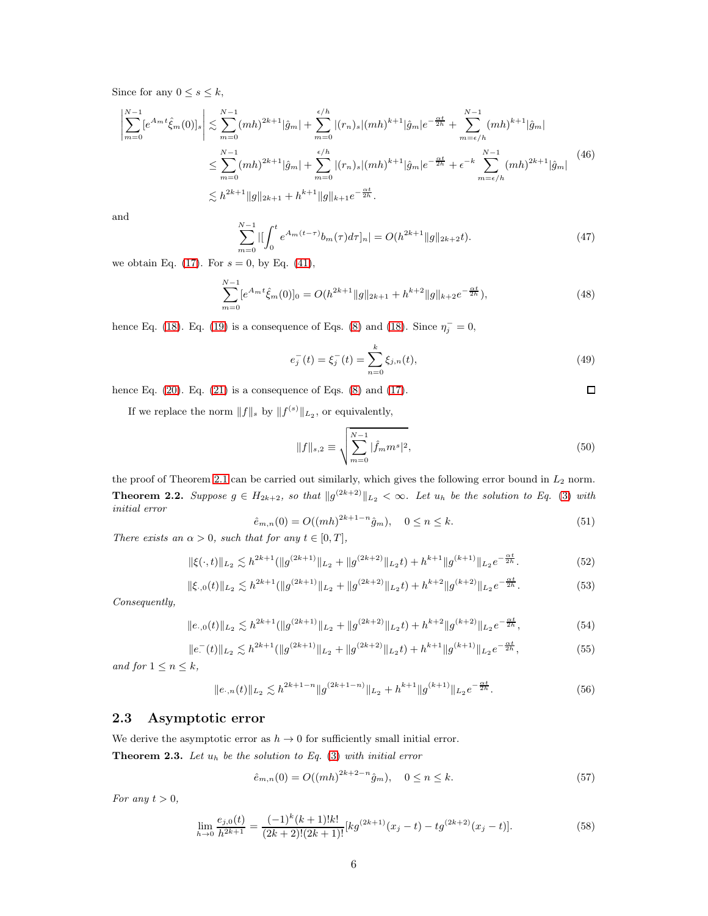Since for any  $0 \leq s \leq k$ ,

<span id="page-5-1"></span>
$$
\left| \sum_{m=0}^{N-1} [e^{A_m t} \hat{\xi}_m(0)]_s \right| \lesssim \sum_{m=0}^{N-1} (mh)^{2k+1} |\hat{g}_m| + \sum_{m=0}^{\epsilon/h} |(r_n)_s| (mh)^{k+1} |\hat{g}_m| e^{-\frac{\alpha t}{2h}} + \sum_{m=\epsilon/h}^{N-1} (mh)^{k+1} |\hat{g}_m|
$$
  

$$
\leq \sum_{m=0}^{N-1} (mh)^{2k+1} |\hat{g}_m| + \sum_{m=0}^{\epsilon/h} |(r_n)_s| (mh)^{k+1} |\hat{g}_m| e^{-\frac{\alpha t}{2h}} + \epsilon^{-k} \sum_{m=\epsilon/h}^{N-1} (mh)^{2k+1} |\hat{g}_m|
$$
(46)  

$$
\lesssim h^{2k+1} \|g\|_{2k+1} + h^{k+1} \|g\|_{k+1} e^{-\frac{\alpha t}{2h}}.
$$

and

$$
\sum_{m=0}^{N-1} | \left[ \int_0^t e^{A_m(t-\tau)} b_m(\tau) d\tau \right]_n | = O(h^{2k+1} \| g \|_{2k+2} t). \tag{47}
$$

we obtain Eq. [\(17\)](#page-3-5). For  $s = 0$ , by Eq. [\(41\)](#page-4-0),

$$
\sum_{m=0}^{N-1} [e^{A_m t} \hat{\xi}_m(0)]_0 = O(h^{2k+1} \|g\|_{2k+1} + h^{k+2} \|g\|_{k+2} e^{-\frac{\alpha t}{2h}}), \tag{48}
$$

hence Eq. [\(18\)](#page-3-6). Eq. [\(19\)](#page-3-7) is a consequence of Eqs. [\(8\)](#page-2-2) and (18). Since  $\eta_j^- = 0$ ,

$$
e_j^-(t) = \xi_j^-(t) = \sum_{n=0}^k \xi_{j,n}(t),
$$
\n(49)

 $\Box$ 

hence Eq.  $(20)$ . Eq.  $(21)$  is a consequence of Eqs.  $(8)$  and  $(17)$ .

If we replace the norm  $||f||_s$  by  $||f^{(s)}||_{L_2}$ , or equivalently,

$$
||f||_{s,2} \equiv \sqrt{\sum_{m=0}^{N-1} |\hat{f}_m m^s|^2},\tag{50}
$$

<span id="page-5-3"></span>the proof of Theorem [2.1](#page-3-10) can be carried out similarly, which gives the following error bound in  $L_2$  norm. **Theorem 2.2.** Suppose  $g \in H_{2k+2}$ , so that  $||g^{(2k+2)}||_{L_2} < \infty$ . Let  $u_h$  be the solution to Eq. [\(3\)](#page-2-0) with initial error

$$
\hat{e}_{m,n}(0) = O((mh)^{2k+1-n}\hat{g}_m), \quad 0 \le n \le k. \tag{51}
$$

There exists an  $\alpha > 0$ , such that for any  $t \in [0, T]$ ,

$$
\|\xi(\cdot,t)\|_{L_2} \lesssim h^{2k+1}(\|g^{(2k+1)}\|_{L_2} + \|g^{(2k+2)}\|_{L_2}t) + h^{k+1} \|g^{(k+1)}\|_{L_2} e^{-\frac{\alpha t}{2h}}.\tag{52}
$$

$$
\|\xi_{\cdot,0}(t)\|_{L_2} \lesssim h^{2k+1}(\|g^{(2k+1)}\|_{L_2} + \|g^{(2k+2)}\|_{L_2}t) + h^{k+2} \|g^{(k+2)}\|_{L_2} e^{-\frac{\alpha t}{2h}}.\tag{53}
$$

Consequently,

$$
||e_{\cdot,0}(t)||_{L_2} \lesssim h^{2k+1} (||g^{(2k+1)}||_{L_2} + ||g^{(2k+2)}||_{L_2}t) + h^{k+2} ||g^{(k+2)}||_{L_2} e^{-\frac{\alpha t}{2h}},\tag{54}
$$

$$
\|e^{-}(t)\|_{L_{2}} \lesssim h^{2k+1}(\|g^{(2k+1)}\|_{L_{2}} + \|g^{(2k+2)}\|_{L_{2}}t) + h^{k+1} \|g^{(k+1)}\|_{L_{2}} e^{-\frac{\alpha t}{2h}},\tag{55}
$$

and for  $1 \leq n \leq k$ ,

$$
||e_{\cdot,n}(t)||_{L_2} \lesssim h^{2k+1-n}||g^{(2k+1-n)}||_{L_2} + h^{k+1}||g^{(k+1)}||_{L_2}e^{-\frac{\alpha t}{2h}}.\tag{56}
$$

### 2.3 Asymptotic error

We derive the asymptotic error as  $h \to 0$  for sufficiently small initial error.

<span id="page-5-2"></span>**Theorem 2.3.** Let  $u_h$  be the solution to Eq. [\(3\)](#page-2-0) with initial error

<span id="page-5-0"></span>
$$
\hat{e}_{m,n}(0) = O((mh)^{2k+2-n}\hat{g}_m), \quad 0 \le n \le k. \tag{57}
$$

For any  $t > 0$ ,

<span id="page-5-4"></span>
$$
\lim_{h \to 0} \frac{e_{j,0}(t)}{h^{2k+1}} = \frac{(-1)^k (k+1)! k!}{(2k+2)! (2k+1)!} [kg^{(2k+1)}(x_j - t) - tg^{(2k+2)}(x_j - t)].
$$
\n(58)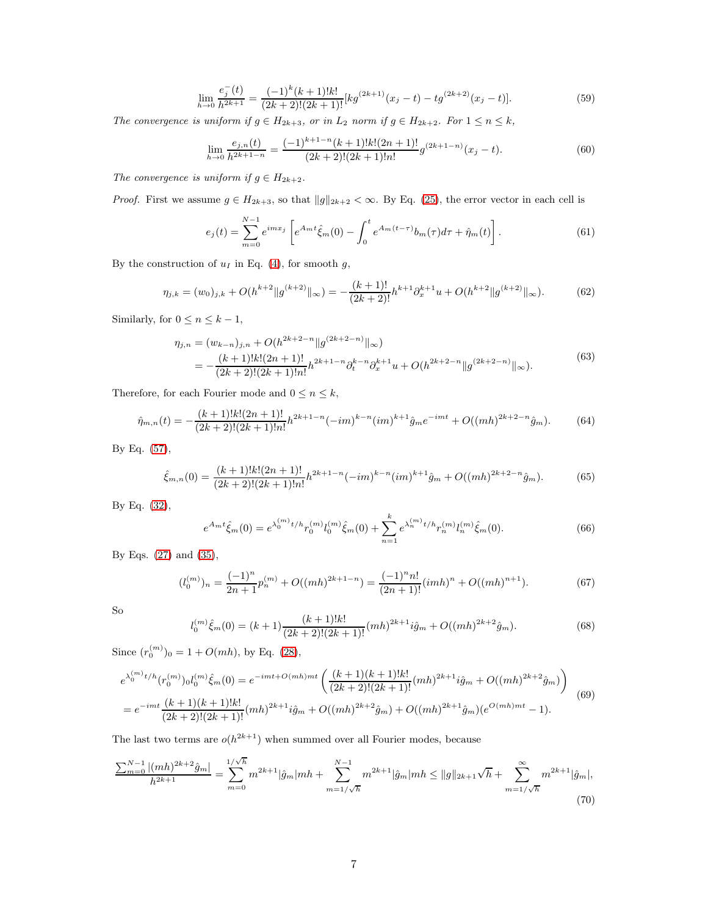<span id="page-6-2"></span>
$$
\lim_{h \to 0} \frac{e_j^-(t)}{h^{2k+1}} = \frac{(-1)^k (k+1)! k!}{(2k+2)! (2k+1)!} [kg^{(2k+1)}(x_j - t) - tg^{(2k+2)}(x_j - t)].
$$
\n(59)

The convergence is uniform if  $g \in H_{2k+3}$ , or in  $L_2$  norm if  $g \in H_{2k+2}$ . For  $1 \le n \le k$ ,

<span id="page-6-5"></span>
$$
\lim_{h \to 0} \frac{e_{j,n}(t)}{h^{2k+1-n}} = \frac{(-1)^{k+1-n}(k+1)!k!(2n+1)!}{(2k+2)!(2k+1)!n!} g^{(2k+1-n)}(x_j - t).
$$
\n(60)

The convergence is uniform if  $g \in H_{2k+2}$ .

*Proof.* First we assume  $g \in H_{2k+3}$ , so that  $||g||_{2k+2} < \infty$ . By Eq. [\(25\)](#page-3-4), the error vector in each cell is

<span id="page-6-0"></span>
$$
e_j(t) = \sum_{m=0}^{N-1} e^{imx_j} \left[ e^{A_m t} \hat{\xi}_m(0) - \int_0^t e^{A_m(t-\tau)} b_m(\tau) d\tau + \hat{\eta}_m(t) \right]. \tag{61}
$$

By the construction of  $u_I$  in Eq. [\(4\)](#page-2-4), for smooth  $g$ ,

$$
\eta_{j,k} = (w_0)_{j,k} + O(h^{k+2} \| g^{(k+2)} \|_{\infty}) = -\frac{(k+1)!}{(2k+2)!} h^{k+1} \partial_x^{k+1} u + O(h^{k+2} \| g^{(k+2)} \|_{\infty}).
$$
\n(62)

Similarly, for  $0 \leq n \leq k-1$ ,

$$
\eta_{j,n} = (w_{k-n})_{j,n} + O(h^{2k+2-n} \|g^{(2k+2-n)}\|_{\infty})
$$
  
= 
$$
-\frac{(k+1)!k!(2n+1)!}{(2k+2)!(2k+1)!n!}h^{2k+1-n}\partial_t^{k-n}\partial_x^{k+1}u + O(h^{2k+2-n} \|g^{(2k+2-n)}\|_{\infty}).
$$
 (63)

Therefore, for each Fourier mode and  $0\leq n\leq k,$ 

<span id="page-6-1"></span>
$$
\hat{\eta}_{m,n}(t) = -\frac{(k+1)!k!(2n+1)!}{(2k+2)!(2k+1)!n!}h^{2k+1-n}(-im)^{k-n}(im)^{k+1}\hat{g}_me^{-imt} + O((mh)^{2k+2-n}\hat{g}_m). \tag{64}
$$

By Eq. [\(57\)](#page-5-0),

<span id="page-6-3"></span>
$$
\hat{\xi}_{m,n}(0) = \frac{(k+1)!k!(2n+1)!}{(2k+2)!(2k+1)!n!}h^{2k+1-n}(-im)^{k-n}(im)^{k+1}\hat{g}_m + O((mh)^{2k+2-n}\hat{g}_m). \tag{65}
$$

By Eq. [\(32\)](#page-4-1),

$$
e^{A_{m}t}\hat{\xi}_{m}(0) = e^{\lambda_{0}^{(m)}t/\hbar}r_{0}^{(m)}l_{0}^{(m)}\hat{\xi}_{m}(0) + \sum_{n=1}^{k} e^{\lambda_{n}^{(m)}t/\hbar}r_{n}^{(m)}l_{n}^{(m)}\hat{\xi}_{m}(0). \tag{66}
$$

By Eqs. [\(27\)](#page-3-11) and [\(35\)](#page-4-2),

$$
(l_0^{(m)})_n = \frac{(-1)^n}{2n+1} p_n^{(m)} + O((mh)^{2k+1-n}) = \frac{(-1)^n n!}{(2n+1)!} (imh)^n + O((mh)^{n+1}).
$$
 (67)

So

<span id="page-6-4"></span>
$$
l_0^{(m)}\hat{\xi}_m(0) = (k+1)\frac{(k+1)!k!}{(2k+2)!(2k+1)!}(mh)^{2k+1}i\hat{g}_m + O((mh)^{2k+2}\hat{g}_m). \tag{68}
$$

Since  $(r_0^{(m)})_0 = 1 + O(mh)$ , by Eq. [\(28\)](#page-3-12),

$$
e^{\lambda_0^{(m)}t/h}(r_0^{(m)})_0 l_0^{(m)}\hat{\xi}_m(0) = e^{-imt + O(mh)mt} \left( \frac{(k+1)(k+1)!k!}{(2k+2)!(2k+1)!} (mh)^{2k+1} i\hat{g}_m + O((mh)^{2k+2}\hat{g}_m) \right)
$$
  
= 
$$
e^{-imt} \frac{(k+1)(k+1)!k!}{(2k+2)!(2k+1)!} (mh)^{2k+1} i\hat{g}_m + O((mh)^{2k+2}\hat{g}_m) + O((mh)^{2k+1}\hat{g}_m) (e^{O(mh)mt} - 1).
$$
 (69)

The last two terms are  $o(h^{2k+1})$  when summed over all Fourier modes, because

$$
\frac{\sum_{m=0}^{N-1} |(mh)^{2k+2}\hat{g}_m|}{h^{2k+1}} = \sum_{m=0}^{1/\sqrt{h}} m^{2k+1} |\hat{g}_m| mh + \sum_{m=1/\sqrt{h}}^{N-1} m^{2k+1} |\hat{g}_m| mh \le ||g||_{2k+1} \sqrt{h} + \sum_{m=1/\sqrt{h}}^{\infty} m^{2k+1} |\hat{g}_m|,
$$
\n(70)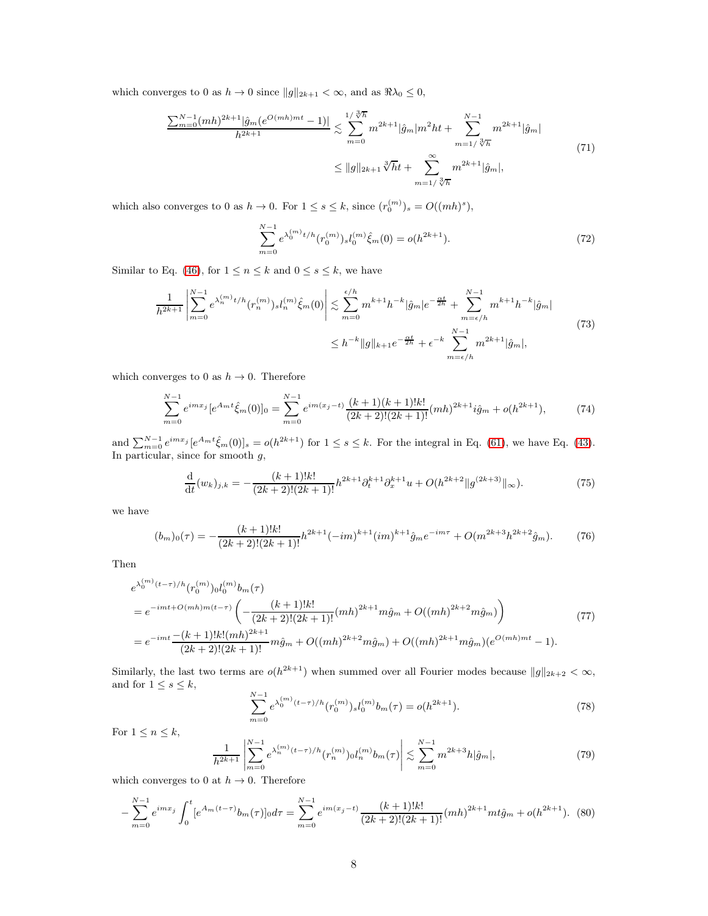which converges to 0 as  $h \to 0$  since  $||g||_{2k+1} < \infty$ , and as  $\Re \lambda_0 \leq 0$ ,

$$
\frac{\sum_{m=0}^{N-1} (mh)^{2k+1} |\hat{g}_m(e^{O(mh)mt} - 1)|}{h^{2k+1}} \lesssim \sum_{m=0}^{1/\sqrt[3]{h}} m^{2k+1} |\hat{g}_m|m^2ht + \sum_{m=1/\sqrt[3]{h}}^{N-1} m^{2k+1} |\hat{g}_m|
$$
\n
$$
\leq ||g||_{2k+1} \sqrt[3]{h} t + \sum_{m=1/\sqrt[3]{h}}^{\infty} m^{2k+1} |\hat{g}_m|,
$$
\n(71)

which also converges to 0 as  $h \to 0$ . For  $1 \le s \le k$ , since  $(r_0^{(m)})_s = O((mh)^s)$ ,

$$
\sum_{m=0}^{N-1} e^{\lambda_0^{(m)} t/h} (r_0^{(m)})_s l_0^{(m)} \hat{\xi}_m(0) = o(h^{2k+1}).
$$
\n(72)

Similar to Eq. [\(46\)](#page-5-1), for  $1 \le n \le k$  and  $0 \le s \le k$ , we have

$$
\frac{1}{h^{2k+1}} \left| \sum_{m=0}^{N-1} e^{\lambda_n^{(m)} t/h} (r_n^{(m)}) s l_n^{(m)} \hat{\xi}_m(0) \right| \lesssim \sum_{m=0}^{\epsilon/h} m^{k+1} h^{-k} |\hat{g}_m| e^{-\frac{\alpha t}{2h}} + \sum_{m=\epsilon/h}^{N-1} m^{k+1} h^{-k} |\hat{g}_m|
$$
\n
$$
\leq h^{-k} \|g\|_{k+1} e^{-\frac{\alpha t}{2h}} + \epsilon^{-k} \sum_{m=\epsilon/h}^{N-1} m^{2k+1} |\hat{g}_m|,
$$
\n(73)

which converges to 0 as  $h \to 0$ . Therefore

<span id="page-7-0"></span>
$$
\sum_{m=0}^{N-1} e^{imx_j} [e^{A_m t} \hat{\xi}_m(0)]_0 = \sum_{m=0}^{N-1} e^{im(x_j - t)} \frac{(k+1)(k+1)!k!}{(2k+2)!(2k+1)!} (mh)^{2k+1} i \hat{g}_m + o(h^{2k+1}),\tag{74}
$$

and  $\sum_{m=0}^{N-1} e^{imx_j} [e^{Amt} \hat{\xi}_m(0)]_s = o(h^{2k+1})$  for  $1 \le s \le k$ . For the integral in Eq. [\(61\)](#page-6-0), we have Eq. [\(43\)](#page-4-3). In particular, since for smooth  $g$ ,

$$
\frac{\mathrm{d}}{\mathrm{d}t}(w_k)_{j,k} = -\frac{(k+1)!k!}{(2k+2)!(2k+1)!}h^{2k+1}\partial_t^{k+1}\partial_x^{k+1}u + O(h^{2k+2}||g^{(2k+3)}||_{\infty}).\tag{75}
$$

we have

$$
(b_m)_0(\tau) = -\frac{(k+1)!k!}{(2k+2)!(2k+1)!}h^{2k+1}(-im)^{k+1}(im)^{k+1}\hat{g}_m e^{-im\tau} + O(m^{2k+3}h^{2k+2}\hat{g}_m). \tag{76}
$$

Then

$$
e^{\lambda_0^{(m)}(t-\tau)/h}(r_0^{(m)})0l_0^{(m)}b_m(\tau)
$$
  
=  $e^{-imt+O(mh)m(t-\tau)}\left(-\frac{(k+1)!k!}{(2k+2)!(2k+1)!}(mh)^{2k+1}m\hat{g}_m + O((mh)^{2k+2}m\hat{g}_m)\right)$   
=  $e^{-imt}\frac{-(k+1)!k!(mh)^{2k+1}}{(2k+2)!(2k+1)!}m\hat{g}_m + O((mh)^{2k+2}m\hat{g}_m) + O((mh)^{2k+1}m\hat{g}_m)(e^{O(mh)mt} - 1).$  (77)

Similarly, the last two terms are  $o(h^{2k+1})$  when summed over all Fourier modes because  $||g||_{2k+2} < \infty$ , and for  $1 \leq s \leq k$ ,

$$
\sum_{m=0}^{N-1} e^{\lambda_0^{(m)}(t-\tau)/h} (r_0^{(m)})_s l_0^{(m)} b_m(\tau) = o(h^{2k+1}).
$$
\n(78)

For  $1 \leq n \leq k$ ,

$$
\frac{1}{h^{2k+1}} \left| \sum_{m=0}^{N-1} e^{\lambda_n^{(m)}(t-\tau)/h} (r_n^{(m)})_0 l_n^{(m)} b_m(\tau) \right| \lesssim \sum_{m=0}^{N-1} m^{2k+3} h |\hat{g}_m|,
$$
\n(79)

which converges to 0 at  $h \to 0$ . Therefore

<span id="page-7-1"></span>
$$
-\sum_{m=0}^{N-1} e^{imx_j} \int_0^t [e^{A_m(t-\tau)} b_m(\tau)]_0 d\tau = \sum_{m=0}^{N-1} e^{im(x_j-t)} \frac{(k+1)!k!}{(2k+2)!(2k+1)!} (mh)^{2k+1} mt \hat{g}_m + o(h^{2k+1}). \tag{80}
$$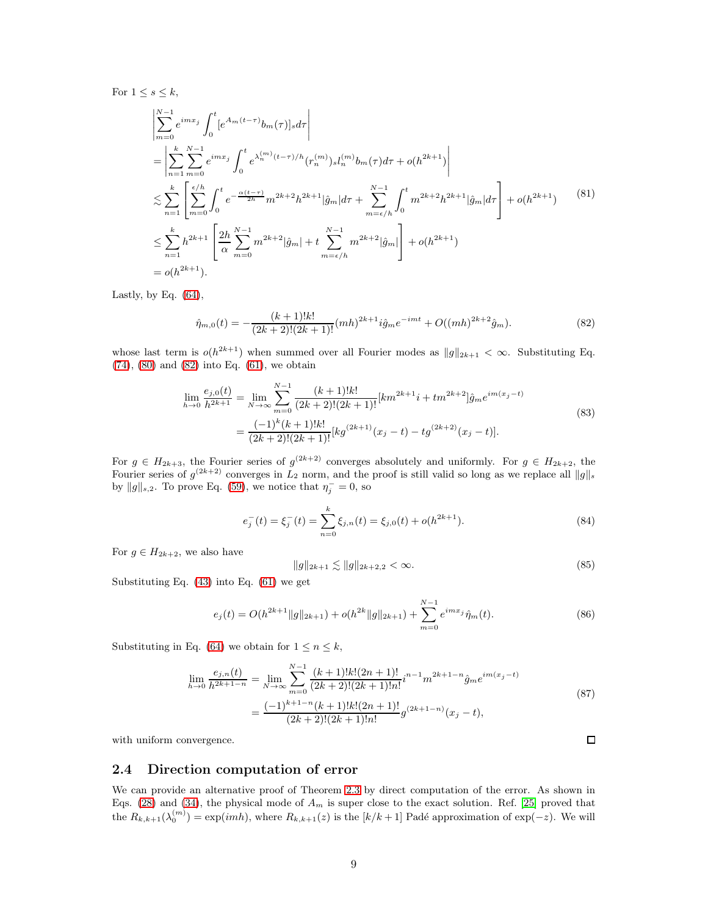For  $1 \leq s \leq k$ ,

$$
\begin{split}\n&\left| \sum_{m=0}^{N-1} e^{imx_j} \int_0^t \left[ e^{A_m(t-\tau)} b_m(\tau) \right]_s d\tau \right| \\
&= \left| \sum_{n=1}^k \sum_{m=0}^{N-1} e^{imx_j} \int_0^t e^{\lambda_n^{(m)}(t-\tau)/h} (r_n^{(m)})_s l_n^{(m)} b_m(\tau) d\tau + o(h^{2k+1}) \right| \\
&\lesssim \sum_{n=1}^k \left[ \sum_{m=0}^{\epsilon/h} \int_0^t e^{-\frac{\alpha(t-\tau)}{2h}} m^{2k+2} h^{2k+1} |\hat{g}_m| d\tau + \sum_{m=\epsilon/h}^{N-1} \int_0^t m^{2k+2} h^{2k+1} |\hat{g}_m| d\tau \right] + o(h^{2k+1}) \tag{81} \\
&\leq \sum_{n=1}^k h^{2k+1} \left[ \frac{2h}{\alpha} \sum_{m=0}^{N-1} m^{2k+2} |\hat{g}_m| + t \sum_{m=\epsilon/h}^{N-1} m^{2k+2} |\hat{g}_m| \right] + o(h^{2k+1}) \\
&= o(h^{2k+1}).\n\end{split}
$$

Lastly, by Eq.  $(64)$ ,

<span id="page-8-0"></span>
$$
\hat{\eta}_{m,0}(t) = -\frac{(k+1)!k!}{(2k+2)!(2k+1)!} (mh)^{2k+1} i \hat{g}_m e^{-imt} + O((mh)^{2k+2} \hat{g}_m). \tag{82}
$$

whose last term is  $o(h^{2k+1})$  when summed over all Fourier modes as  $||g||_{2k+1} < \infty$ . Substituting Eq. [\(74\)](#page-7-0), [\(80\)](#page-7-1) and [\(82\)](#page-8-0) into Eq. [\(61\)](#page-6-0), we obtain

$$
\lim_{h \to 0} \frac{e_{j,0}(t)}{h^{2k+1}} = \lim_{N \to \infty} \sum_{m=0}^{N-1} \frac{(k+1)!k!}{(2k+2)!(2k+1)!} [km^{2k+1}i + tm^{2k+2}] \hat{g}_m e^{im(x_j - t)} \n= \frac{(-1)^k (k+1)!k!}{(2k+2)!(2k+1)!} [kg^{(2k+1)}(x_j - t) - tg^{(2k+2)}(x_j - t)].
$$
\n(83)

For  $g \in H_{2k+3}$ , the Fourier series of  $g^{(2k+2)}$  converges absolutely and uniformly. For  $g \in H_{2k+2}$ , the Fourier series of  $g^{(2k+2)}$  converges in  $L_2$  norm, and the proof is still valid so long as we replace all  $||g||_s$ by  $||g||_{s,2}$ . To prove Eq. [\(59\)](#page-6-2), we notice that  $\eta_j^- = 0$ , so

$$
e_j^-(t) = \xi_j^-(t) = \sum_{n=0}^k \xi_{j,n}(t) = \xi_{j,0}(t) + o(h^{2k+1}).
$$
\n(84)

For  $g \in H_{2k+2}$ , we also have

$$
||g||_{2k+1} \lesssim ||g||_{2k+2,2} < \infty.
$$
\n(85)

Substituting Eq. [\(43\)](#page-4-3) into Eq. [\(61\)](#page-6-0) we get

$$
e_j(t) = O(h^{2k+1}||g||_{2k+1}) + o(h^{2k}||g||_{2k+1}) + \sum_{m=0}^{N-1} e^{imx_j} \hat{\eta}_m(t).
$$
\n(86)

Substituting in Eq. [\(64\)](#page-6-1) we obtain for  $1 \le n \le k$ ,

$$
\lim_{h \to 0} \frac{e_{j,n}(t)}{h^{2k+1-n}} = \lim_{N \to \infty} \sum_{m=0}^{N-1} \frac{(k+1)!k!(2n+1)!}{(2k+2)!(2k+1)!n!} i^{n-1} m^{2k+1-n} \hat{g}_m e^{im(x_j-t)} \n= \frac{(-1)^{k+1-n}(k+1)!k!(2n+1)!}{(2k+2)!(2k+1)!n!} g^{(2k+1-n)}(x_j-t),
$$
\n(87)

with uniform convergence.

#### 2.4 Direction computation of error

We can provide an alternative proof of Theorem [2.3](#page-5-2) by direct computation of the error. As shown in Eqs. [\(28\)](#page-3-12) and [\(34\)](#page-4-4), the physical mode of  $A_m$  is super close to the exact solution. Ref. [\[25\]](#page-19-12) proved that the  $R_{k,k+1}(\lambda_0^{(m)}) = \exp(imh)$ , where  $R_{k,k+1}(z)$  is the  $[k/k+1]$  Padé approximation of  $\exp(-z)$ . We will

 $\Box$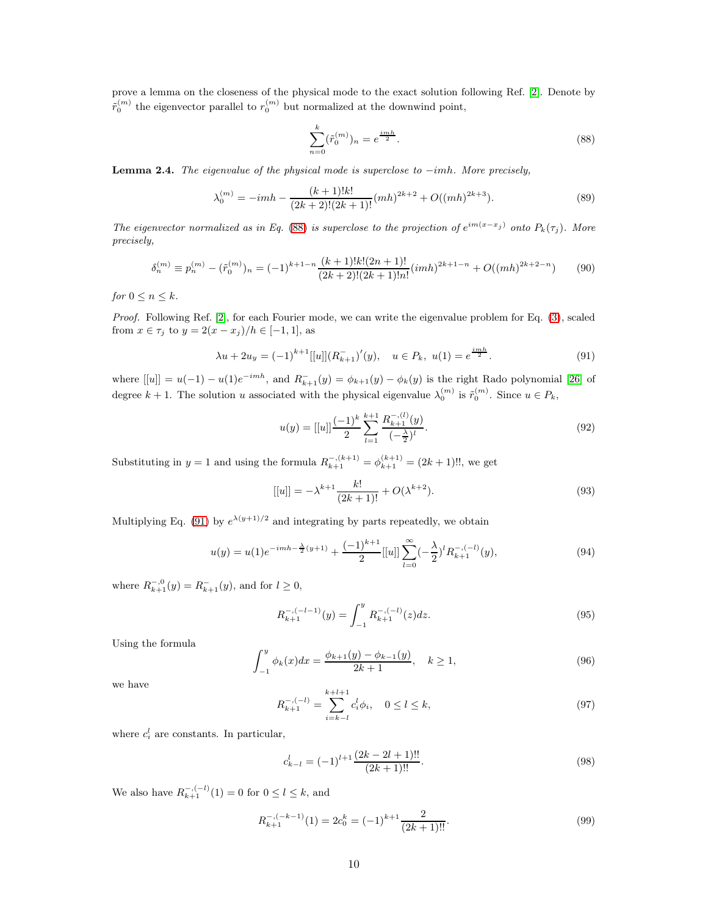prove a lemma on the closeness of the physical mode to the exact solution following Ref. [\[2\]](#page-18-1). Denote by  $\tilde{r}_0^{(m)}$  the eigenvector parallel to  $r_0^{(m)}$  but normalized at the downwind point,

<span id="page-9-0"></span>
$$
\sum_{n=0}^{k} (\tilde{r}_0^{(m)})_n = e^{\frac{imh}{2}}.
$$
\n(88)

<span id="page-9-5"></span>**Lemma 2.4.** The eigenvalue of the physical mode is superclose to  $-imh$ . More precisely,

<span id="page-9-7"></span>
$$
\lambda_0^{(m)} = -imh - \frac{(k+1)!k!}{(2k+2)!(2k+1)!} (mh)^{2k+2} + O((mh)^{2k+3}).\tag{89}
$$

The eigenvector normalized as in Eq. [\(88\)](#page-9-0) is superclose to the projection of  $e^{im(x-x_j)}$  onto  $P_k(\tau_j)$ . More precisely,

<span id="page-9-6"></span>
$$
\delta_n^{(m)} \equiv p_n^{(m)} - (\tilde{r}_0^{(m)})_n = (-1)^{k+1-n} \frac{(k+1)!k!(2n+1)!}{(2k+2)!(2k+1)!n!} (imh)^{2k+1-n} + O((mh)^{2k+2-n}) \tag{90}
$$

for  $0 \leq n \leq k$ .

Proof. Following Ref. [\[2\]](#page-18-1), for each Fourier mode, we can write the eigenvalue problem for Eq. [\(3\)](#page-2-0), scaled from  $x \in \tau_j$  to  $y = 2(x - x_j)/h \in [-1, 1]$ , as

<span id="page-9-1"></span>
$$
\lambda u + 2u_y = (-1)^{k+1}[[u]](R_{k+1}^-)'(y), \quad u \in P_k, \ u(1) = e^{\frac{imh}{2}}.
$$
\n
$$
(91)
$$

where  $[[u]] = u(-1) - u(1)e^{-imh}$ , and  $R_{k+1}(y) = \phi_{k+1}(y) - \phi_k(y)$  is the right Rado polynomial [\[26\]](#page-19-13) of degree  $k + 1$ . The solution u associated with the physical eigenvalue  $\lambda_0^{(m)}$  is  $\tilde{r}_0^{(m)}$ . Since  $u \in P_k$ ,

$$
u(y) = [[u]] \frac{(-1)^k}{2} \sum_{l=1}^{k+1} \frac{R_{k+1}^{-,(l)}(y)}{(-\frac{\lambda}{2})^l}.
$$
\n(92)

Substituting in  $y = 1$  and using the formula  $R_{k+1}^{-(k+1)} = \phi_{k+1}^{(k+1)} = (2k+1)!!$ , we get

<span id="page-9-2"></span>
$$
[[u]] = -\lambda^{k+1} \frac{k!}{(2k+1)!} + O(\lambda^{k+2}).
$$
\n(93)

Multiplying Eq. [\(91\)](#page-9-1) by  $e^{\lambda(y+1)/2}$  and integrating by parts repeatedly, we obtain

<span id="page-9-3"></span>
$$
u(y) = u(1)e^{-imh - \frac{\lambda}{2}(y+1)} + \frac{(-1)^{k+1}}{2}[[u]] \sum_{l=0}^{\infty} (-\frac{\lambda}{2})^l R_{k+1}^{-,(-l)}(y), \tag{94}
$$

where  $R_{k+1}^{-,0}(y) = R_{k+1}^{-}(y)$ , and for  $l \geq 0$ ,

$$
R_{k+1}^{-,(-l-1)}(y) = \int_{-1}^{y} R_{k+1}^{-,(-l)}(z) dz.
$$
 (95)

Using the formula

$$
\int_{-1}^{y} \phi_k(x)dx = \frac{\phi_{k+1}(y) - \phi_{k-1}(y)}{2k+1}, \quad k \ge 1,
$$
\n(96)

we have

$$
R_{k+1}^{-,(-l)} = \sum_{i=k-l}^{k+l+1} c_i^l \phi_i, \quad 0 \le l \le k,
$$
\n(97)

where  $c_i^l$  are constants. In particular,

<span id="page-9-4"></span>
$$
c_{k-l}^{l} = (-1)^{l+1} \frac{(2k - 2l + 1)!!}{(2k + 1)!!}.
$$
\n(98)

We also have  $R_{k+1}^{-,(-l)}(1) = 0$  for  $0 \le l \le k$ , and

$$
R_{k+1}^{-(k-1)}(1) = 2c_0^k = (-1)^{k+1} \frac{2}{(2k+1)!!}.
$$
\n(99)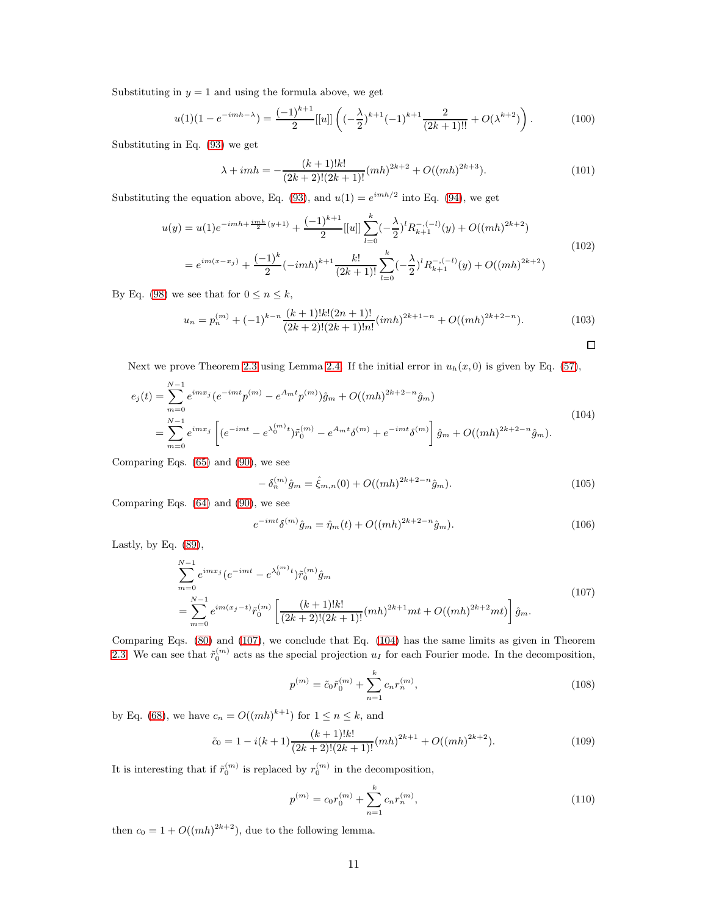Substituting in  $y = 1$  and using the formula above, we get

$$
u(1)(1 - e^{-imh - \lambda}) = \frac{(-1)^{k+1}}{2}[[u]] \left( (-\frac{\lambda}{2})^{k+1}(-1)^{k+1} \frac{2}{(2k+1)!!} + O(\lambda^{k+2}) \right). \tag{100}
$$

Substituting in Eq. [\(93\)](#page-9-2) we get

$$
\lambda + imh = -\frac{(k+1)!k!}{(2k+2)!(2k+1)!} (mh)^{2k+2} + O((mh)^{2k+3}). \tag{101}
$$

Substituting the equation above, Eq. [\(93\)](#page-9-2), and  $u(1) = e^{imh/2}$  into Eq. [\(94\)](#page-9-3), we get

$$
u(y) = u(1)e^{-imh + \frac{imh}{2}(y+1)} + \frac{(-1)^{k+1}}{2}[[u]] \sum_{l=0}^{k} (-\frac{\lambda}{2})^{l} R_{k+1}^{-(l-1)}(y) + O((mh)^{2k+2})
$$
  

$$
= e^{im(x-x_j)} + \frac{(-1)^k}{2} (-imh)^{k+1} \frac{k!}{(2k+1)!} \sum_{l=0}^{k} (-\frac{\lambda}{2})^{l} R_{k+1}^{-(l-1)}(y) + O((mh)^{2k+2})
$$
(102)

By Eq. [\(98\)](#page-9-4) we see that for  $0 \le n \le k$ ,

$$
u_n = p_n^{(m)} + (-1)^{k-n} \frac{(k+1)!k!(2n+1)!}{(2k+2)!(2k+1)!n!} (imh)^{2k+1-n} + O((mh)^{2k+2-n}).
$$
\n
$$
\Box
$$

Next we prove Theorem [2.3](#page-5-2) using Lemma [2.4.](#page-9-5) If the initial error in  $u_h(x, 0)$  is given by Eq. [\(57\)](#page-5-0),

<span id="page-10-1"></span>
$$
e_j(t) = \sum_{m=0}^{N-1} e^{imx_j} (e^{-imt} p^{(m)} - e^{A_m t} p^{(m)}) \hat{g}_m + O((mh)^{2k+2-n} \hat{g}_m)
$$
  
= 
$$
\sum_{m=0}^{N-1} e^{imx_j} \left[ (e^{-imt} - e^{\lambda_0^{(m)}t}) \tilde{r}_0^{(m)} - e^{A_m t} \delta^{(m)} + e^{-imt} \delta^{(m)} \right] \hat{g}_m + O((mh)^{2k+2-n} \hat{g}_m).
$$
 (104)

Comparing Eqs. [\(65\)](#page-6-3) and [\(90\)](#page-9-6), we see

$$
-\delta_n^{(m)}\hat{g}_m = \hat{\xi}_{m,n}(0) + O((mh)^{2k+2-n}\hat{g}_m). \tag{105}
$$

Comparing Eqs. [\(64\)](#page-6-1) and [\(90\)](#page-9-6), we see

na ka

$$
e^{-imt} \delta^{(m)} \hat{g}_m = \hat{\eta}_m(t) + O((mh)^{2k+2-n} \hat{g}_m). \tag{106}
$$

Lastly, by Eq.  $(89)$ ,

<span id="page-10-0"></span>
$$
\sum_{m=0}^{N-1} e^{imx_j} (e^{-imt} - e^{\lambda_0^{(m)}t}) \tilde{r}_0^{(m)} \hat{g}_m
$$
\n
$$
= \sum_{m=0}^{N-1} e^{im(x_j - t)} \tilde{r}_0^{(m)} \left[ \frac{(k+1)!k!}{(2k+2)!(2k+1)!} (mh)^{2k+1} mt + O((mh)^{2k+2} mt) \right] \hat{g}_m.
$$
\n(107)

Comparing Eqs. [\(80\)](#page-7-1) and [\(107\)](#page-10-0), we conclude that Eq. [\(104\)](#page-10-1) has the same limits as given in Theorem [2.3.](#page-5-2) We can see that  $\tilde{r}_0^{(m)}$  acts as the special projection  $u_I$  for each Fourier mode. In the decomposition,

$$
p^{(m)} = \tilde{c}_0 \tilde{r}_0^{(m)} + \sum_{n=1}^{k} c_n r_n^{(m)},
$$
\n(108)

by Eq. [\(68\)](#page-6-4), we have  $c_n = O((mh)^{k+1})$  for  $1 \le n \le k$ , and

$$
\tilde{c}_0 = 1 - i(k+1) \frac{(k+1)!k!}{(2k+2)!(2k+1)!} (mh)^{2k+1} + O((mh)^{2k+2}).\tag{109}
$$

It is interesting that if  $\tilde{r}_0^{(m)}$  is replaced by  $r_0^{(m)}$  in the decomposition,

<span id="page-10-2"></span>
$$
p^{(m)} = c_0 r_0^{(m)} + \sum_{n=1}^{k} c_n r_n^{(m)},
$$
\n(110)

then  $c_0 = 1 + O((mh)^{2k+2})$ , due to the following lemma.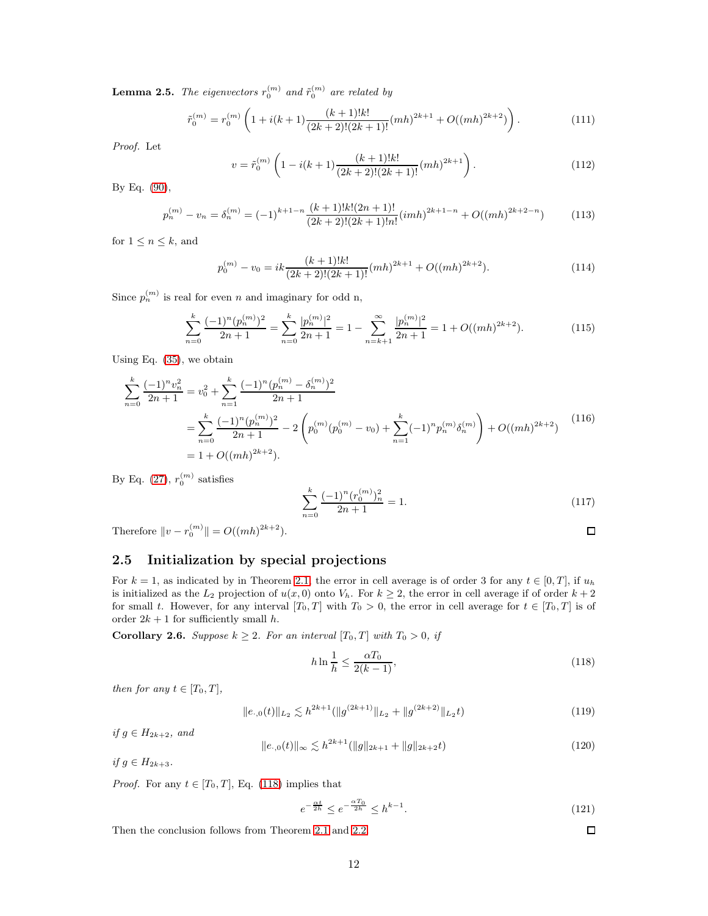<span id="page-11-1"></span>**Lemma 2.5.** The eigenvectors  $r_0^{(m)}$  and  $\tilde{r}_0^{(m)}$  are related by

$$
\tilde{r}_0^{(m)} = r_0^{(m)} \left( 1 + i(k+1) \frac{(k+1)!k!}{(2k+2)!(2k+1)!} (mh)^{2k+1} + O((mh)^{2k+2}) \right). \tag{111}
$$

Proof. Let

$$
v = \tilde{r}_0^{(m)} \left( 1 - i(k+1) \frac{(k+1)!k!}{(2k+2)!(2k+1)!} (mh)^{2k+1} \right). \tag{112}
$$

By Eq. [\(90\)](#page-9-6),

$$
p_n^{(m)} - v_n = \delta_n^{(m)} = (-1)^{k+1-n} \frac{(k+1)!k!(2n+1)!}{(2k+2)!(2k+1)!n!} (imh)^{2k+1-n} + O((mh)^{2k+2-n}) \tag{113}
$$

for  $1 \leq n \leq k$ , and

$$
p_0^{(m)} - v_0 = ik \frac{(k+1)!k!}{(2k+2)!(2k+1)!} (mh)^{2k+1} + O((mh)^{2k+2}).
$$
\n(114)

Since  $p_n^{(m)}$  is real for even n and imaginary for odd n,

$$
\sum_{n=0}^{k} \frac{(-1)^n (p_n^{(m)})^2}{2n+1} = \sum_{n=0}^{k} \frac{|p_n^{(m)}|^2}{2n+1} = 1 - \sum_{n=k+1}^{\infty} \frac{|p_n^{(m)}|^2}{2n+1} = 1 + O((mh)^{2k+2}).
$$
\n(115)

Using Eq. [\(35\)](#page-4-2), we obtain

$$
\sum_{n=0}^{k} \frac{(-1)^n v_n^2}{2n+1} = v_0^2 + \sum_{n=1}^{k} \frac{(-1)^n (p_n^{(m)} - \delta_n^{(m)})^2}{2n+1}
$$
\n
$$
= \sum_{n=0}^{k} \frac{(-1)^n (p_n^{(m)})^2}{2n+1} - 2 \left( p_0^{(m)} (p_0^{(m)} - v_0) + \sum_{n=1}^{k} (-1)^n p_n^{(m)} \delta_n^{(m)} \right) + O((mh)^{2k+2}) \tag{116}
$$
\n
$$
= 1 + O((mh)^{2k+2}). \tag{117}
$$

By Eq.  $(27)$ ,  $r_0^{(m)}$  satisfies

$$
\sum_{n=0}^{k} \frac{(-1)^n (r_0^{(m)})_n^2}{2n+1} = 1.
$$
\n(117)

Therefore  $||v - r_0^{(m)}|| = O((mh)^{2k+2}).$ 

$$
\Box
$$

 $\Box$ 

## 2.5 Initialization by special projections

For  $k = 1$ , as indicated by in Theorem [2.1,](#page-3-10) the error in cell average is of order 3 for any  $t \in [0, T]$ , if  $u_h$ is initialized as the  $L_2$  projection of  $u(x, 0)$  onto  $V_h$ . For  $k \geq 2$ , the error in cell average if of order  $k + 2$ for small t. However, for any interval  $[T_0, T]$  with  $T_0 > 0$ , the error in cell average for  $t \in [T_0, T]$  is of order  $2k + 1$  for sufficiently small h.

**Corollary 2.6.** Suppose  $k \geq 2$ . For an interval  $[T_0, T]$  with  $T_0 > 0$ , if

<span id="page-11-0"></span>
$$
h \ln \frac{1}{h} \le \frac{\alpha T_0}{2(k-1)},\tag{118}
$$

then for any  $t \in [T_0, T]$ ,

$$
||e_{\cdot,0}(t)||_{L_2} \lesssim h^{2k+1} (||g^{(2k+1)}||_{L_2} + ||g^{(2k+2)}||_{L_2}t)
$$
\n(119)

if  $g \in H_{2k+2}$ , and

$$
||e_{\cdot,0}(t)||_{\infty} \lesssim h^{2k+1}(||g||_{2k+1} + ||g||_{2k+2}t)
$$
\n(120)

if  $g \in H_{2k+3}$ .

*Proof.* For any  $t \in [T_0, T]$ , Eq. [\(118\)](#page-11-0) implies that

$$
e^{-\frac{\alpha t}{2h}} \le e^{-\frac{\alpha T_0}{2h}} \le h^{k-1}.\tag{121}
$$

Then the conclusion follows from Theorem [2.1](#page-3-10) and [2.2.](#page-5-3)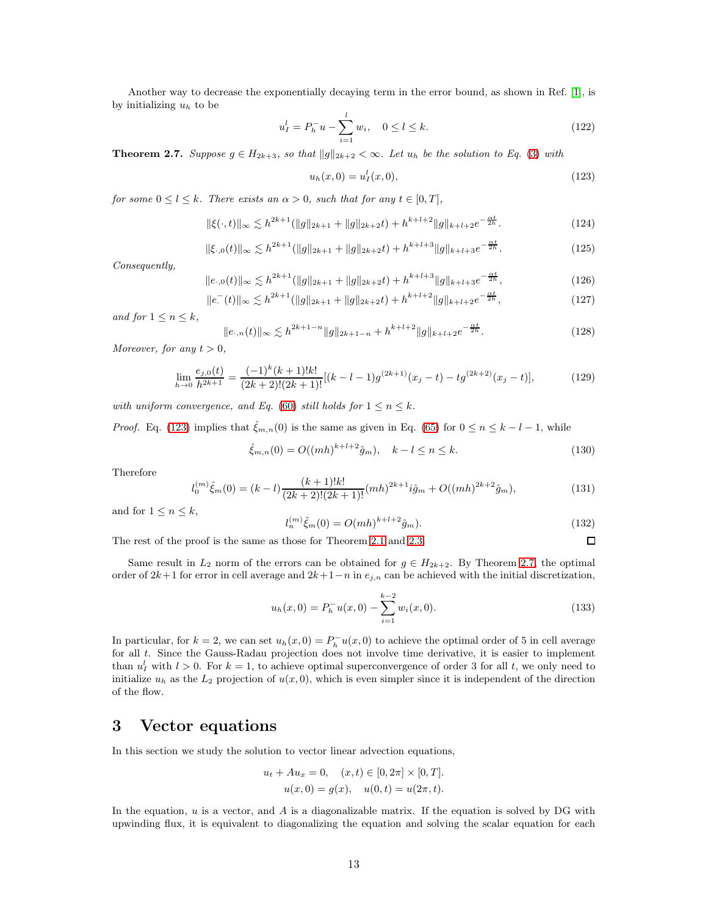Another way to decrease the exponentially decaying term in the error bound, as shown in Ref. [\[1\]](#page-18-0), is by initializing  $u_h$  to be

<span id="page-12-2"></span>
$$
u_I^l = P_h^- u - \sum_{i=1}^l w_i, \quad 0 \le l \le k. \tag{122}
$$

<span id="page-12-1"></span>**Theorem 2.7.** Suppose  $g \in H_{2k+3}$ , so that  $||g||_{2k+2} < \infty$ . Let  $u_h$  be the solution to Eq. [\(3\)](#page-2-0) with

<span id="page-12-0"></span>
$$
u_h(x,0) = u_I^l(x,0),
$$
\n(123)

for some  $0 \leq l \leq k$ . There exists an  $\alpha > 0$ , such that for any  $t \in [0, T]$ ,

$$
\|\xi(\cdot,t)\|_{\infty} \lesssim h^{2k+1}(\|g\|_{2k+1} + \|g\|_{2k+2}t) + h^{k+l+2} \|g\|_{k+l+2} e^{-\frac{\alpha t}{2h}}.
$$
 (124)

$$
\|\xi_{\cdot,0}(t)\|_{\infty} \lesssim h^{2k+1}(\|g\|_{2k+1} + \|g\|_{2k+2}t) + h^{k+l+3}\|g\|_{k+l+3}e^{-\frac{\alpha t}{2h}}.\tag{125}
$$

Consequently,

$$
||e_{\cdot,0}(t)||_{\infty} \lesssim h^{2k+1} (||g||_{2k+1} + ||g||_{2k+2}t) + h^{k+l+3} ||g||_{k+l+3} e^{-\frac{\alpha t}{2h}},\tag{126}
$$

$$
||e^{-}(t)||_{\infty} \lesssim h^{2k+1}(||g||_{2k+1} + ||g||_{2k+2}t) + h^{k+l+2}||g||_{k+l+2}e^{-\frac{\alpha t}{2h}},
$$
\n(127)

and for  $1 \leq n \leq k$ ,

$$
||e_{\cdot,n}(t)||_{\infty} \lesssim h^{2k+1-n}||g||_{2k+1-n} + h^{k+l+2}||g||_{k+l+2}e^{-\frac{\alpha t}{2h}}.
$$
\n(128)

Moreover, for any  $t > 0$ ,

$$
\lim_{h \to 0} \frac{e_{j,0}(t)}{h^{2k+1}} = \frac{(-1)^k (k+1)! k!}{(2k+2)! (2k+1)!} [(k-l-1)g^{(2k+1)}(x_j-t) - tg^{(2k+2)}(x_j-t)],\tag{129}
$$

with uniform convergence, and Eq. [\(60\)](#page-6-5) still holds for  $1 \le n \le k$ .

*Proof.* Eq. [\(123\)](#page-12-0) implies that  $\hat{\xi}_{m,n}(0)$  is the same as given in Eq. [\(65\)](#page-6-3) for  $0 \le n \le k - l - 1$ , while

$$
\hat{\xi}_{m,n}(0) = O((mh)^{k+l+2}\hat{g}_m), \quad k - l \le n \le k. \tag{130}
$$

Therefore

$$
l_0^{(m)}\hat{\xi}_m(0) = (k-l)\frac{(k+1)!k!}{(2k+2)!(2k+1)!}(mh)^{2k+1}i\hat{g}_m + O((mh)^{2k+2}\hat{g}_m),\tag{131}
$$

and for  $1 \leq n \leq k$ ,

$$
l_n^{(m)}\hat{\xi}_m(0) = O(mh)^{k+l+2}\hat{g}_m).
$$
\n(132)

 $\Box$ 

The rest of the proof is the same as those for Theorem [2.1](#page-3-10) and [2.3.](#page-5-2)

Same result in  $L_2$  norm of the errors can be obtained for  $g \in H_{2k+2}$ . By Theorem [2.7,](#page-12-1) the optimal order of  $2k+1$  for error in cell average and  $2k+1-n$  in  $e_{j,n}$  can be achieved with the initial discretization,

$$
u_h(x,0) = P_h^- u(x,0) - \sum_{i=1}^{k-2} w_i(x,0).
$$
 (133)

In particular, for  $k = 2$ , we can set  $u_h(x, 0) = P_h^- u(x, 0)$  to achieve the optimal order of 5 in cell average for all t. Since the Gauss-Radau projection does not involve time derivative, it is easier to implement than  $u_I^l$  with  $l > 0$ . For  $k = 1$ , to achieve optimal superconvergence of order 3 for all t, we only need to initialize  $u_h$  as the  $L_2$  projection of  $u(x, 0)$ , which is even simpler since it is independent of the direction of the flow.

# 3 Vector equations

In this section we study the solution to vector linear advection equations,

$$
u_t + Au_x = 0, \quad (x, t) \in [0, 2\pi] \times [0, T].
$$
  

$$
u(x, 0) = g(x), \quad u(0, t) = u(2\pi, t).
$$

In the equation,  $u$  is a vector, and  $A$  is a diagonalizable matrix. If the equation is solved by DG with upwinding flux, it is equivalent to diagonalizing the equation and solving the scalar equation for each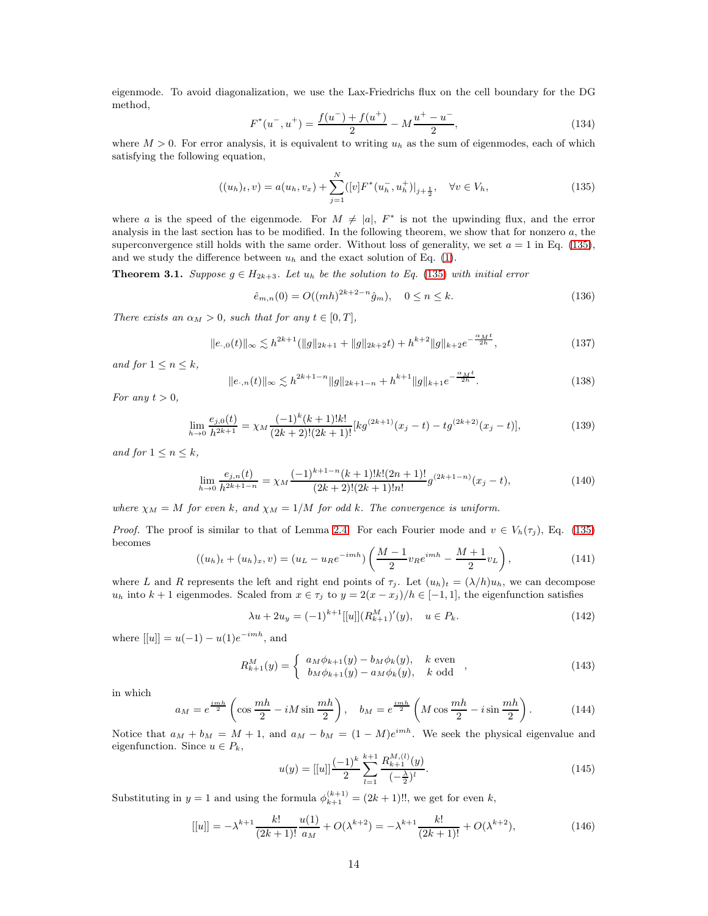eigenmode. To avoid diagonalization, we use the Lax-Friedrichs flux on the cell boundary for the DG method,

$$
F^*(u^-, u^+) = \frac{f(u^-) + f(u^+)}{2} - M\frac{u^+ - u^-}{2},\tag{134}
$$

where  $M > 0$ . For error analysis, it is equivalent to writing  $u_h$  as the sum of eigenmodes, each of which satisfying the following equation,

<span id="page-13-0"></span>
$$
((u_h)_t, v) = a(u_h, v_x) + \sum_{j=1}^{N} ([v]F^*(u_h^-, u_h^+)|_{j+\frac{1}{2}}, \quad \forall v \in V_h,
$$
\n(135)

where a is the speed of the eigenmode. For  $M \neq [a]$ ,  $F^*$  is not the upwinding flux, and the error analysis in the last section has to be modified. In the following theorem, we show that for nonzero a, the superconvergence still holds with the same order. Without loss of generality, we set  $a = 1$  in Eq. [\(135\)](#page-13-0), and we study the difference between  $u_h$  and the exact solution of Eq. [\(1\)](#page-1-0).

**Theorem 3.1.** Suppose  $g \in H_{2k+3}$ . Let  $u_h$  be the solution to Eq. [\(135\)](#page-13-0) with initial error

$$
\hat{e}_{m,n}(0) = O((mh)^{2k+2-n}\hat{g}_m), \quad 0 \le n \le k. \tag{136}
$$

There exists an  $\alpha_M > 0$ , such that for any  $t \in [0, T]$ ,

$$
||e_{\cdot,0}(t)||_{\infty} \lesssim h^{2k+1} (||g||_{2k+1} + ||g||_{2k+2}t) + h^{k+2} ||g||_{k+2} e^{-\frac{\alpha_M t}{2h}}, \tag{137}
$$

and for  $1 \leq n \leq k$ ,

$$
||e_{\cdot,n}(t)||_{\infty} \lesssim h^{2k+1-n} ||g||_{2k+1-n} + h^{k+1} ||g||_{k+1} e^{-\frac{\alpha_M t}{2h}}.
$$
\n(138)

For any  $t > 0$ ,

$$
\lim_{h \to 0} \frac{e_{j,0}(t)}{h^{2k+1}} = \chi_M \frac{(-1)^k (k+1)! k!}{(2k+2)! (2k+1)!} [kg^{(2k+1)}(x_j - t) - tg^{(2k+2)}(x_j - t)],\tag{139}
$$

and for  $1 \leq n \leq k$ ,

$$
\lim_{h \to 0} \frac{e_{j,n}(t)}{h^{2k+1-n}} = \chi_M \frac{(-1)^{k+1-n}(k+1)!k!(2n+1)!}{(2k+2)!(2k+1)!n!} g^{(2k+1-n)}(x_j - t),\tag{140}
$$

where  $\chi_M = M$  for even k, and  $\chi_M = 1/M$  for odd k. The convergence is uniform.

*Proof.* The proof is similar to that of Lemma [2.4.](#page-9-5) For each Fourier mode and  $v \in V_h(\tau_j)$ , Eq. [\(135\)](#page-13-0) becomes

$$
((u_h)_t + (u_h)_x, v) = (u_L - u_R e^{-imh}) \left( \frac{M-1}{2} v_R e^{imh} - \frac{M+1}{2} v_L \right), \tag{141}
$$

where L and R represents the left and right end points of  $\tau_j$ . Let  $(u_h)_t = (\lambda/h)u_h$ , we can decompose  $u_h$  into  $k + 1$  eigenmodes. Scaled from  $x \in \tau_j$  to  $y = 2(x - x_j)/h \in [-1, 1]$ , the eigenfunction satisfies

<span id="page-13-1"></span>
$$
\lambda u + 2u_y = (-1)^{k+1}[[u]](R_{k+1}^M)'(y), \quad u \in P_k.
$$
\n(142)

where  $[[u]] = u(-1) - u(1)e^{-imh}$ , and

$$
R_{k+1}^{M}(y) = \begin{cases} a_{M}\phi_{k+1}(y) - b_{M}\phi_{k}(y), & k \text{ even} \\ b_{M}\phi_{k+1}(y) - a_{M}\phi_{k}(y), & k \text{ odd} \end{cases},
$$
\n(143)

in which

$$
a_M = e^{\frac{imh}{2}} \left( \cos \frac{mh}{2} - iM \sin \frac{mh}{2} \right), \quad b_M = e^{\frac{imh}{2}} \left( M \cos \frac{mh}{2} - i \sin \frac{mh}{2} \right). \tag{144}
$$

Notice that  $a_M + b_M = M + 1$ , and  $a_M - b_M = (1 - M)e^{imh}$ . We seek the physical eigenvalue and eigenfunction. Since  $u \in P_k$ ,

$$
u(y) = [[u]] \frac{(-1)^k}{2} \sum_{l=1}^{k+1} \frac{R_{k+1}^{M,(l)}(y)}{(-\frac{\lambda}{2})^l}.
$$
 (145)

Substituting in  $y = 1$  and using the formula  $\phi_{k+1}^{(k+1)} = (2k+1)!!$ , we get for even k,

$$
[[u]] = -\lambda^{k+1} \frac{k!}{(2k+1)!} \frac{u(1)}{a_M} + O(\lambda^{k+2}) = -\lambda^{k+1} \frac{k!}{(2k+1)!} + O(\lambda^{k+2}),\tag{146}
$$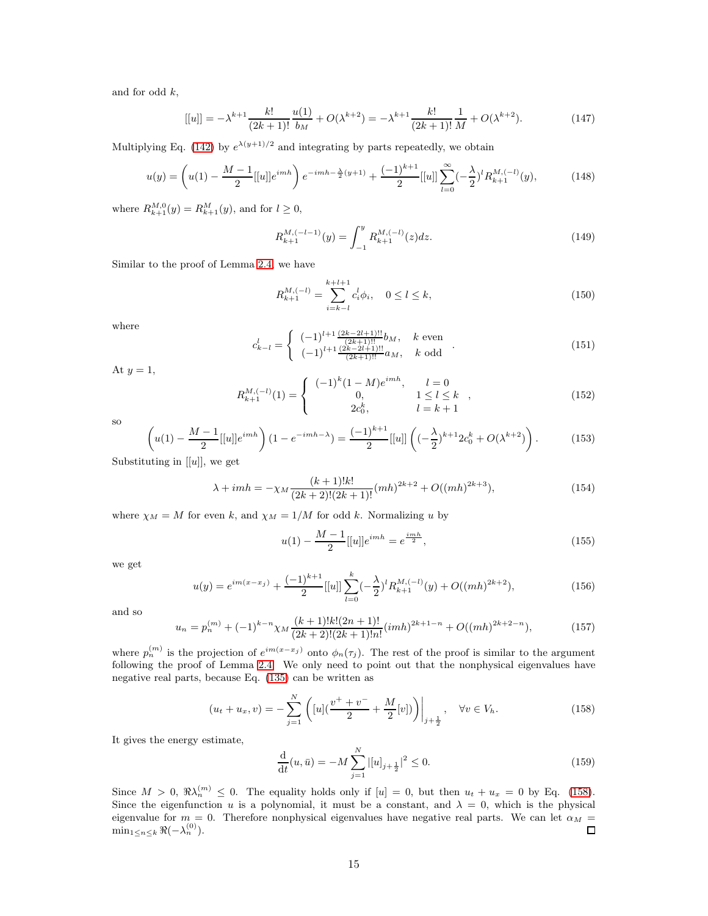and for odd  $k$ ,

$$
[[u]] = -\lambda^{k+1} \frac{k!}{(2k+1)!} \frac{u(1)}{b_M} + O(\lambda^{k+2}) = -\lambda^{k+1} \frac{k!}{(2k+1)!} \frac{1}{M} + O(\lambda^{k+2}).
$$
 (147)

Multiplying Eq. [\(142\)](#page-13-1) by  $e^{\lambda(y+1)/2}$  and integrating by parts repeatedly, we obtain

$$
u(y) = \left(u(1) - \frac{M-1}{2}[[u]]e^{imh}\right)e^{-imh-\frac{\lambda}{2}(y+1)} + \frac{(-1)^{k+1}}{2}[[u]]\sum_{l=0}^{\infty}(-\frac{\lambda}{2})^l R_{k+1}^{M,(-l)}(y),\tag{148}
$$

where  $R_{k+1}^{M,0}(y) = R_{k+1}^{M}(y)$ , and for  $l \geq 0$ ,

$$
R_{k+1}^{M, (-l-1)}(y) = \int_{-1}^{y} R_{k+1}^{M, (-l)}(z) dz.
$$
 (149)

Similar to the proof of Lemma [2.4,](#page-9-5) we have

$$
R_{k+1}^{M,(-l)} = \sum_{i=k-l}^{k+l+1} c_i^l \phi_i, \quad 0 \le l \le k,
$$
\n(150)

where

$$
c_{k-l}^{l} = \begin{cases} (-1)^{l+1} \frac{(2k-2l+1)!!}{(2k+1)!!} b_M, & k \text{ even} \\ (-1)^{l+1} \frac{(2k-2l+1)!!}{(2k+1)!!} a_M, & k \text{ odd} \end{cases} (151)
$$

At  $y=1$ ,

$$
R_{k+1}^{M,(-l)}(1) = \begin{cases} (-1)^k (1-M)e^{imh}, & l=0\\ 0, & 1 \le l \le k\\ 2c_0^k, & l=k+1 \end{cases}
$$
 (152)

so  

$$
\left(u(1) - \frac{M-1}{2}[[u]]e^{imh}\right)(1 - e^{-imh-\lambda}) = \frac{(-1)^{k+1}}{2}[[u]]\left((-\frac{\lambda}{2})^{k+1}2c_0^k + O(\lambda^{k+2})\right).
$$
(153)

Substituting in  $[[u]]$ , we get

$$
\lambda + imh = -\chi_M \frac{(k+1)!k!}{(2k+2)!(2k+1)!} (mh)^{2k+2} + O((mh)^{2k+3}), \tag{154}
$$

where  $\chi_M = M$  for even k, and  $\chi_M = 1/M$  for odd k. Normalizing u by

<span id="page-14-1"></span>
$$
u(1) - \frac{M-1}{2}[[u]]e^{imh} = e^{\frac{imh}{2}}, \qquad (155)
$$

we get

$$
u(y) = e^{im(x-x_j)} + \frac{(-1)^{k+1}}{2}[[u]] \sum_{l=0}^{k} (-\frac{\lambda}{2})^l R_{k+1}^{M, (-l)}(y) + O((mh)^{2k+2}), \tag{156}
$$

and so

$$
u_n = p_n^{(m)} + (-1)^{k-n} \chi_M \frac{(k+1)!k!(2n+1)!}{(2k+2)!(2k+1)!n!} (imh)^{2k+1-n} + O((mh)^{2k+2-n}),\tag{157}
$$

where  $p_n^{(m)}$  is the projection of  $e^{im(x-x_j)}$  onto  $\phi_n(\tau_j)$ . The rest of the proof is similar to the argument following the proof of Lemma [2.4.](#page-9-5) We only need to point out that the nonphysical eigenvalues have negative real parts, because Eq. [\(135\)](#page-13-0) can be written as

<span id="page-14-0"></span>
$$
(u_t + u_x, v) = -\sum_{j=1}^{N} \left( [u] \left( \frac{v^+ + v^-}{2} + \frac{M}{2} [v] \right) \right) \Big|_{j+\frac{1}{2}}, \quad \forall v \in V_h.
$$
 (158)

It gives the energy estimate,

$$
\frac{\mathrm{d}}{\mathrm{d}t}(u,\bar{u}) = -M \sum_{j=1}^{N} |[u]_{j+\frac{1}{2}}|^2 \le 0. \tag{159}
$$

Since  $M > 0$ ,  $\Re \lambda_n^{(m)} \leq 0$ . The equality holds only if  $[u] = 0$ , but then  $u_t + u_x = 0$  by Eq. [\(158\)](#page-14-0). Since the eigenfunction u is a polynomial, it must be a constant, and  $\lambda = 0$ , which is the physical eigenvalue for  $m = 0$ . Therefore nonphysical eigenvalues have negative real parts. We can let  $\alpha_M =$  $\min_{1 \leq n \leq k} \Re(\lambda_n^{(0)})$ .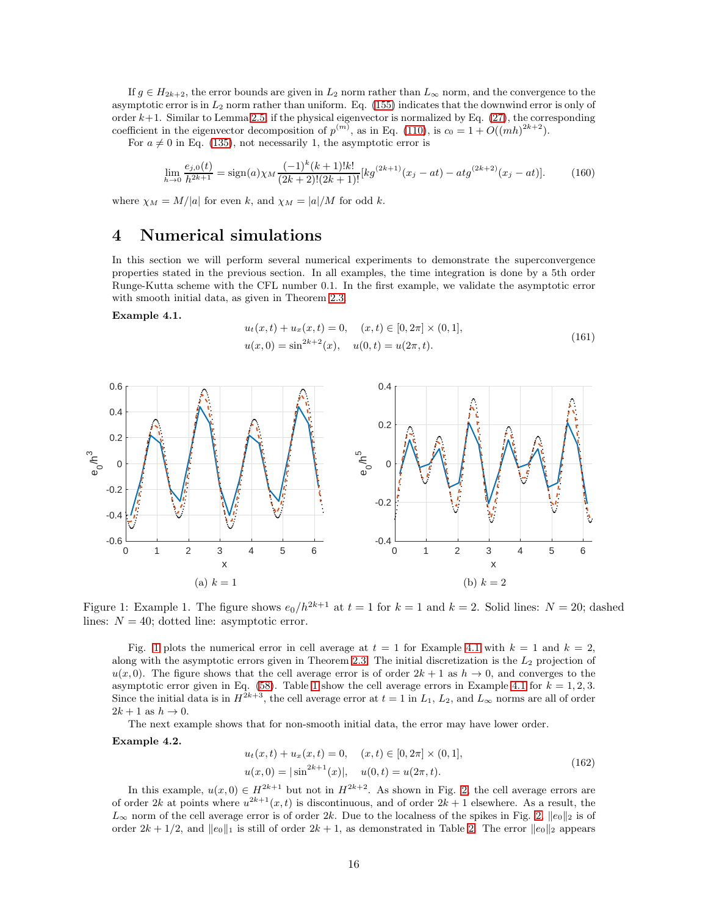If  $g \in H_{2k+2}$ , the error bounds are given in  $L_2$  norm rather than  $L_{\infty}$  norm, and the convergence to the asymptotic error is in  $L_2$  norm rather than uniform. Eq. [\(155\)](#page-14-1) indicates that the downwind error is only of order  $k+1$ . Similar to Lemma [2.5,](#page-11-1) if the physical eigenvector is normalized by Eq. [\(27\)](#page-3-11), the corresponding coefficient in the eigenvector decomposition of  $p^{(m)}$ , as in Eq. [\(110\)](#page-10-2), is  $c_0 = 1 + O((mh)^{2k+2})$ .

For  $a \neq 0$  in Eq. [\(135\)](#page-13-0), not necessarily 1, the asymptotic error is

<span id="page-15-2"></span>
$$
\lim_{h \to 0} \frac{e_{j,0}(t)}{h^{2k+1}} = \text{sign}(a)\chi_M \frac{(-1)^k (k+1)! k!}{(2k+2)!(2k+1)!} [kg^{(2k+1)}(x_j - at) - at g^{(2k+2)}(x_j - at)]. \tag{160}
$$

where  $\chi_M = M/|a|$  for even k, and  $\chi_M = |a|/M$  for odd k.

# 4 Numerical simulations

In this section we will perform several numerical experiments to demonstrate the superconvergence properties stated in the previous section. In all examples, the time integration is done by a 5th order Runge-Kutta scheme with the CFL number 0.1. In the first example, we validate the asymptotic error with smooth initial data, as given in Theorem [2.3.](#page-5-2)

<span id="page-15-1"></span>Example 4.1.

$$
u_t(x,t) + u_x(x,t) = 0, \quad (x,t) \in [0,2\pi] \times (0,1],
$$
  

$$
u(x,0) = \sin^{2k+2}(x), \quad u(0,t) = u(2\pi,t).
$$
 (161)

<span id="page-15-0"></span>

Figure 1: Example 1. The figure shows  $e_0/h^{2k+1}$  at  $t = 1$  for  $k = 1$  and  $k = 2$ . Solid lines:  $N = 20$ ; dashed lines:  $N = 40$ ; dotted line: asymptotic error.

Fig. [1](#page-15-0) plots the numerical error in cell average at  $t = 1$  for Example [4.1](#page-15-1) with  $k = 1$  and  $k = 2$ , along with the asymptotic errors given in Theorem [2.3.](#page-5-2) The initial discretization is the  $L_2$  projection of  $u(x, 0)$ . The figure shows that the cell average error is of order  $2k + 1$  as  $h \to 0$ , and converges to the asymptotic error given in Eq. [\(58\)](#page-5-4). Table [1](#page-16-0) show the cell average errors in Example [4.1](#page-15-1) for  $k = 1, 2, 3$ . Since the initial data is in  $H^{2k+3}$ , the cell average error at  $t = 1$  in  $L_1$ ,  $L_2$ , and  $L_{\infty}$  norms are all of order  $2k + 1$  as  $h \rightarrow 0$ .

The next example shows that for non-smooth initial data, the error may have lower order.

Example 4.2.

$$
u_t(x,t) + u_x(x,t) = 0, \quad (x,t) \in [0,2\pi] \times (0,1],
$$
  

$$
u(x,0) = |\sin^{2k+1}(x)|, \quad u(0,t) = u(2\pi,t).
$$
 (162)

In this example,  $u(x, 0) \in H^{2k+1}$  but not in  $H^{2k+2}$ . As shown in Fig. [2,](#page-16-1) the cell average errors are of order 2k at points where  $u^{2k+1}(x,t)$  is discontinuous, and of order  $2k+1$  elsewhere. As a result, the  $L_{\infty}$  norm of the cell average error is of order 2k. Due to the localness of the spikes in Fig. [2,](#page-16-1)  $||e_0||_2$  is of order  $2k + 1/2$ , and  $||e_0||_1$  is still of order  $2k + 1$ , as demonstrated in Table [2.](#page-17-0) The error  $||e_0||_2$  appears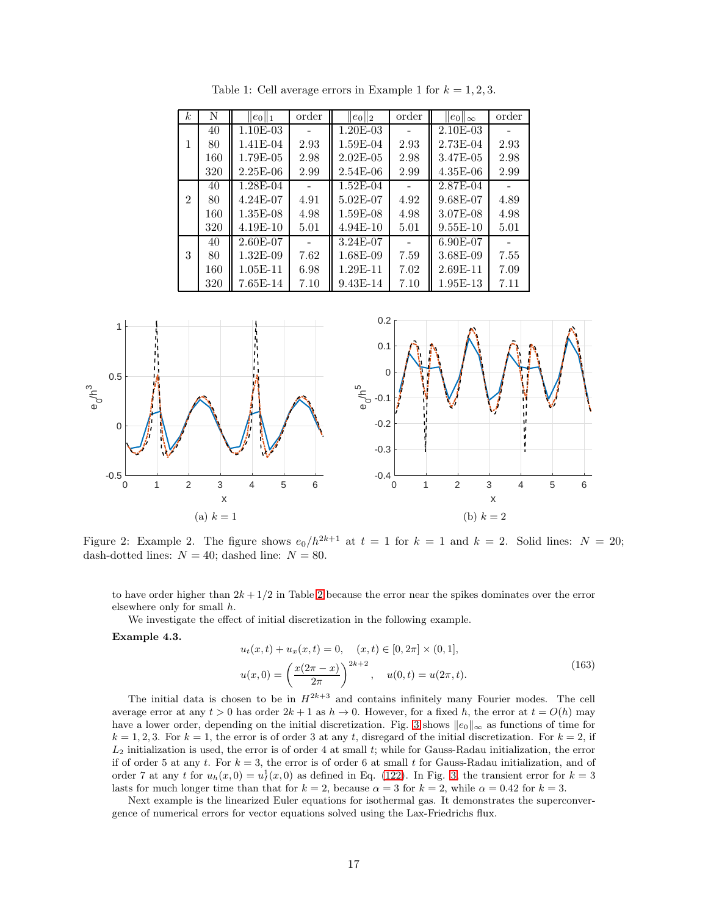<span id="page-16-0"></span>

| $\boldsymbol{k}$ | Ν   | $  e_{0}  _{1}$ | order | $  e_0  _2$   | order | $  e_0  _{\infty}$ | order |
|------------------|-----|-----------------|-------|---------------|-------|--------------------|-------|
|                  | 40  | 1.10E-03        |       | 1.20E-03      |       | $2.10E-03$         |       |
| 1                | 80  | 1.41E-04        | 2.93  | 1.59E-04      | 2.93  | 2.73E-04           | 2.93  |
|                  | 160 | 1.79E-05        | 2.98  | $2.02E - 0.5$ | 2.98  | 3.47E-05           | 2.98  |
|                  | 320 | $2.25E-06$      | 2.99  | $2.54E-06$    | 2.99  | $4.35E-06$         | 2.99  |
|                  | 40  | 1.28E-04        |       | $1.52E-04$    |       | 2.87E-04           |       |
| $\mathfrak{D}$   | 80  | 4.24E-07        | 4.91  | 5.02E-07      | 4.92  | 9.68E-07           | 4.89  |
|                  | 160 | 1.35E-08        | 4.98  | $1.59E-08$    | 4.98  | 3.07E-08           | 4.98  |
|                  | 320 | $4.19E-10$      | 5.01  | $4.94E-10$    | 5.01  | $9.55E-10$         | 5.01  |
|                  | 40  | 2.60E-07        |       | 3.24E-07      |       | 6.90E-07           |       |
| 3                | 80  | $1.32E-0.9$     | 7.62  | 1.68E-09      | 7.59  | 3.68E-09           | 7.55  |
|                  | 160 | $1.05E-11$      | 6.98  | 1.29E-11      | 7.02  | $2.69E-11$         | 7.09  |
|                  | 320 | 7.65E-14        | 7.10  | 9.43E-14      | 7.10  | 1.95E-13           | 7.11  |

Table 1: Cell average errors in Example 1 for  $k = 1, 2, 3$ .

<span id="page-16-1"></span>

Figure 2: Example 2. The figure shows  $e_0/h^{2k+1}$  at  $t = 1$  for  $k = 1$  and  $k = 2$ . Solid lines:  $N = 20$ ; dash-dotted lines:  $N = 40$ ; dashed line:  $N = 80$ .

to have order higher than  $2k + 1/2$  in Table [2](#page-17-0) because the error near the spikes dominates over the error elsewhere only for small h.

We investigate the effect of initial discretization in the following example.

#### Example 4.3.

$$
u_t(x,t) + u_x(x,t) = 0, \quad (x,t) \in [0,2\pi] \times (0,1],
$$
  

$$
u(x,0) = \left(\frac{x(2\pi - x)}{2\pi}\right)^{2k+2}, \quad u(0,t) = u(2\pi,t).
$$
 (163)

The initial data is chosen to be in  $H^{2k+3}$  and contains infinitely many Fourier modes. The cell average error at any  $t > 0$  has order  $2k + 1$  as  $h \to 0$ . However, for a fixed h, the error at  $t = O(h)$  may have a lower order, depending on the initial discretization. Fig. [3](#page-17-1) shows  $||e_0||_{\infty}$  as functions of time for  $k = 1, 2, 3$ . For  $k = 1$ , the error is of order 3 at any t, disregard of the initial discretization. For  $k = 2$ , if  $L_2$  initialization is used, the error is of order 4 at small t; while for Gauss-Radau initialization, the error if of order 5 at any t. For  $k = 3$ , the error is of order 6 at small t for Gauss-Radau initialization, and of order 7 at any t for  $u_h(x,0) = u_I^1(x,0)$  as defined in Eq. [\(122\)](#page-12-2). In Fig. [3,](#page-17-1) the transient error for  $k=3$ lasts for much longer time than that for  $k = 2$ , because  $\alpha = 3$  for  $k = 2$ , while  $\alpha = 0.42$  for  $k = 3$ .

Next example is the linearized Euler equations for isothermal gas. It demonstrates the superconvergence of numerical errors for vector equations solved using the Lax-Friedrichs flux.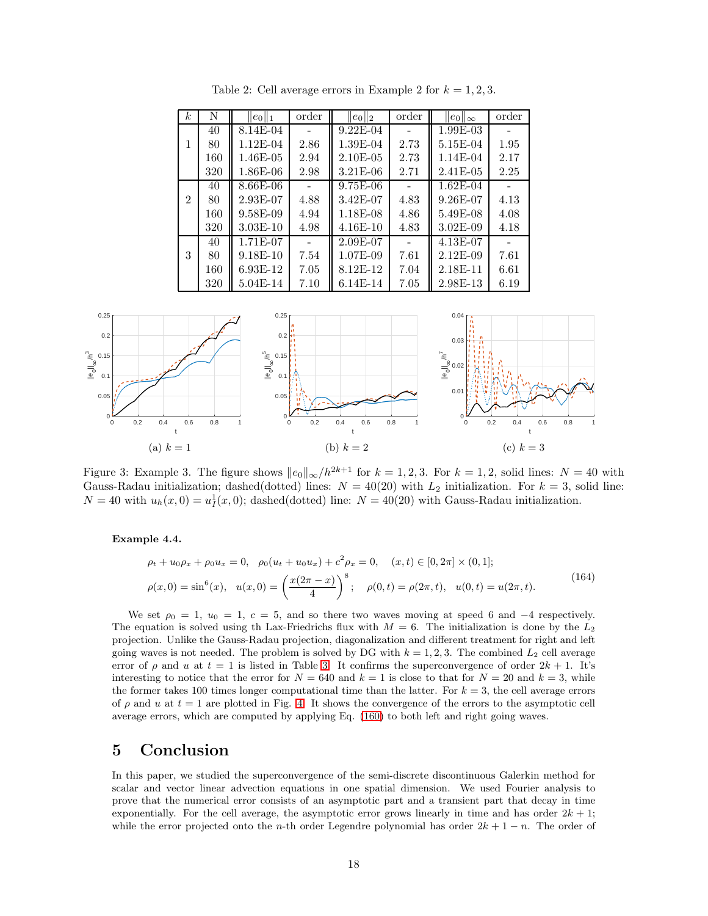<span id="page-17-0"></span>

| $\boldsymbol{k}$ | N   | $  e_0  _1$ | order | $  e_0  _2$   | order | $  e_0  _{\infty}$ | order |
|------------------|-----|-------------|-------|---------------|-------|--------------------|-------|
|                  | 40  | 8.14E-04    |       | $9.22E-04$    |       | $1.99E-03$         |       |
| 1                | 80  | $1.12E-04$  | 2.86  | 1.39E-04      | 2.73  | 5.15E-04           | 1.95  |
|                  | 160 | 1.46E-05    | 2.94  | $2.10E - 0.5$ | 2.73  | 1.14E-04           | 2.17  |
|                  | 320 | 1.86E-06    | 2.98  | $3.21E - 06$  | 2.71  | 2.41E-05           | 2.25  |
|                  | 40  | 8.66E-06    |       | $9.75E-06$    |       | $1.62E-04$         |       |
| $\mathfrak{D}$   | 80  | 2.93E-07    | 4.88  | 3.42E-07      | 4.83  | 9.26E-07           | 4.13  |
|                  | 160 | 9.58E-09    | 4.94  | 1.18E-08      | 4.86  | 5.49E-08           | 4.08  |
|                  | 320 | 3.03E-10    | 4.98  | $4.16E-10$    | 4.83  | $3.02E - 0.9$      | 4.18  |
|                  | 40  | 1.71E-07    |       | 2.09E-07      |       | 4.13E-07           |       |
| 3                | 80  | 9.18E-10    | 7.54  | 1.07E-09      | 7.61  | $2.12E-0.9$        | 7.61  |
|                  | 160 | $6.93E-12$  | 7.05  | 8.12E-12      | 7.04  | 2.18E-11           | 6.61  |
|                  | 320 | 5.04E-14    | 7.10  | 6.14E-14      | 7.05  | 2.98E-13           | 6.19  |

Table 2: Cell average errors in Example 2 for  $k = 1, 2, 3$ .

<span id="page-17-1"></span>

Figure 3: Example 3. The figure shows  $||e_0||_{\infty}/h^{2k+1}$  for  $k = 1, 2, 3$ . For  $k = 1, 2$ , solid lines:  $N = 40$  with Gauss-Radau initialization; dashed(dotted) lines:  $N = 40(20)$  with  $L_2$  initialization. For  $k = 3$ , solid line:  $N = 40$  with  $u_h(x, 0) = u<sub>I</sub><sup>1</sup>(x, 0)$ ; dashed(dotted) line:  $N = 40(20)$  with Gauss-Radau initialization.

#### Example 4.4.

$$
\rho_t + u_0 \rho_x + \rho_0 u_x = 0, \quad \rho_0 (u_t + u_0 u_x) + c^2 \rho_x = 0, \quad (x, t) \in [0, 2\pi] \times (0, 1];
$$
  

$$
\rho(x, 0) = \sin^6(x), \quad u(x, 0) = \left(\frac{x(2\pi - x)}{4}\right)^8; \quad \rho(0, t) = \rho(2\pi, t), \quad u(0, t) = u(2\pi, t).
$$
 (164)

We set  $\rho_0 = 1$ ,  $u_0 = 1$ ,  $c = 5$ , and so there two waves moving at speed 6 and  $-4$  respectively. The equation is solved using th Lax-Friedrichs flux with  $M = 6$ . The initialization is done by the  $L_2$ projection. Unlike the Gauss-Radau projection, diagonalization and different treatment for right and left going waves is not needed. The problem is solved by DG with  $k = 1, 2, 3$ . The combined  $L_2$  cell average error of  $\rho$  and u at  $t = 1$  is listed in Table [3.](#page-18-4) It confirms the superconvergence of order  $2k + 1$ . It's interesting to notice that the error for  $N = 640$  and  $k = 1$  is close to that for  $N = 20$  and  $k = 3$ , while the former takes 100 times longer computational time than the latter. For  $k = 3$ , the cell average errors of  $\rho$  and u at  $t = 1$  are plotted in Fig. [4.](#page-18-5) It shows the convergence of the errors to the asymptotic cell average errors, which are computed by applying Eq. [\(160\)](#page-15-2) to both left and right going waves.

## 5 Conclusion

In this paper, we studied the superconvergence of the semi-discrete discontinuous Galerkin method for scalar and vector linear advection equations in one spatial dimension. We used Fourier analysis to prove that the numerical error consists of an asymptotic part and a transient part that decay in time exponentially. For the cell average, the asymptotic error grows linearly in time and has order  $2k + 1$ ; while the error projected onto the n-th order Legendre polynomial has order  $2k + 1 - n$ . The order of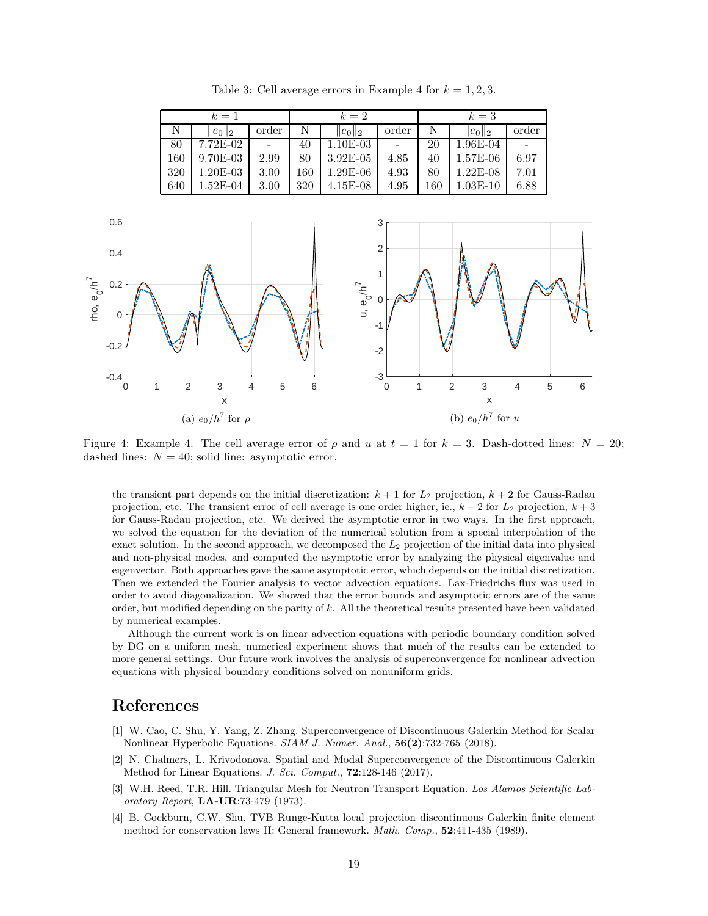|  | Table 3: Cell average errors in Example 4 for $k = 1, 2, 3$ . |  |  |  |
|--|---------------------------------------------------------------|--|--|--|
|--|---------------------------------------------------------------|--|--|--|

<span id="page-18-4"></span>

|     | $k=1$       |       | $k=2$        |              |       | $k=3$ |             |       |
|-----|-------------|-------|--------------|--------------|-------|-------|-------------|-------|
|     | $  e_0  _2$ | order | <sup>N</sup> | $  e_0  _2$  | order | N     | $  e_0  _2$ | order |
| 80  | $7.72E-02$  |       | 40           | 1.10E-03     |       | 20    | $1.96E-04$  |       |
| 160 | 9.70E-03    | 2.99  | 80           | $3.92E - 05$ | 4.85  | 40    | 1.57E-06    | 6.97  |
| 320 | $1.20E-03$  | 3.00  | 160          | $1.29E-06$   | 4.93  | 80    | $1.22E-08$  | 7.01  |
| 640 | 1.52E-04    | 3.00  | 320          | $4.15E-08$   | 4.95  | 160   | $1.03E-10$  | 6.88  |

<span id="page-18-5"></span>

Figure 4: Example 4. The cell average error of  $\rho$  and u at  $t = 1$  for  $k = 3$ . Dash-dotted lines:  $N = 20$ ; dashed lines:  $N = 40$ ; solid line: asymptotic error.

the transient part depends on the initial discretization:  $k + 1$  for  $L_2$  projection,  $k + 2$  for Gauss-Radau projection, etc. The transient error of cell average is one order higher, ie.,  $k + 2$  for  $L_2$  projection,  $k + 3$ for Gauss-Radau projection, etc. We derived the asymptotic error in two ways. In the first approach, we solved the equation for the deviation of the numerical solution from a special interpolation of the exact solution. In the second approach, we decomposed the  $L_2$  projection of the initial data into physical and non-physical modes, and computed the asymptotic error by analyzing the physical eigenvalue and eigenvector. Both approaches gave the same asymptotic error, which depends on the initial discretization. Then we extended the Fourier analysis to vector advection equations. Lax-Friedrichs flux was used in order to avoid diagonalization. We showed that the error bounds and asymptotic errors are of the same order, but modified depending on the parity of  $k$ . All the theoretical results presented have been validated by numerical examples.

Although the current work is on linear advection equations with periodic boundary condition solved by DG on a uniform mesh, numerical experiment shows that much of the results can be extended to more general settings. Our future work involves the analysis of superconvergence for nonlinear advection equations with physical boundary conditions solved on nonuniform grids.

# <span id="page-18-0"></span>References

- [1] W. Cao, C. Shu, Y. Yang, Z. Zhang. Superconvergence of Discontinuous Galerkin Method for Scalar Nonlinear Hyperbolic Equations. SIAM J. Numer. Anal., 56(2):732-765 (2018).
- <span id="page-18-1"></span>[2] N. Chalmers, L. Krivodonova. Spatial and Modal Superconvergence of the Discontinuous Galerkin Method for Linear Equations. J. Sci. Comput., **72**:128-146 (2017).
- <span id="page-18-2"></span>[3] W.H. Reed, T.R. Hill. Triangular Mesh for Neutron Transport Equation. Los Alamos Scientific Laboratory Report, **LA-UR**:73-479 (1973).
- <span id="page-18-3"></span>[4] B. Cockburn, C.W. Shu. TVB Runge-Kutta local projection discontinuous Galerkin finite element method for conservation laws II: General framework. Math. Comp., 52:411-435 (1989).